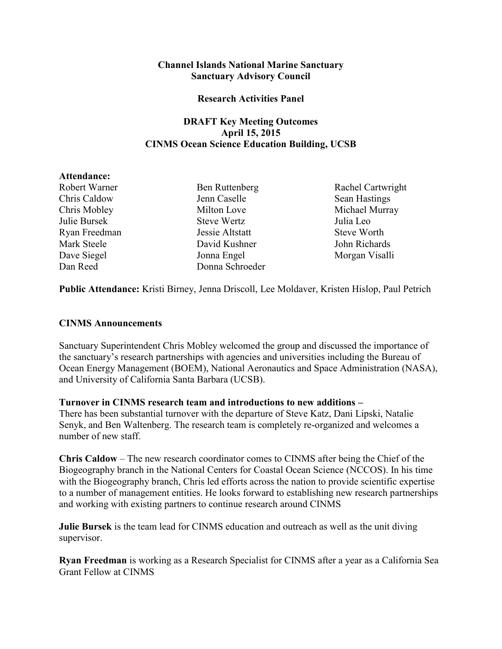## **Channel Islands National Marine Sanctuary Sanctuary Advisory Council**

#### **Research Activities Panel**

## **DRAFT Key Meeting Outcomes April 15, 2015 CINMS Ocean Science Education Building, UCSB**

#### **Attendance:**

 Ryan Freedman Jessie Altstatt Steve Worth Chris Caldow Jenn Caselle Sean Hastings Chris Mobley Milton Love Michael Murray Julie Bursek Steve Wertz Julia Leo Mark Steele David Kushner John Richards Dave Siegel Jonna Engel Morgan Visalli Dan Reed Donna Schroeder

Robert Warner Ben Ruttenberg Rachel Cartwright

**Public Attendance:** Kristi Birney, Jenna Driscoll, Lee Moldaver, Kristen Hislop, Paul Petrich

## **CINMS Announcements**

Sanctuary Superintendent Chris Mobley welcomed the group and discussed the importance of the sanctuary's research partnerships with agencies and universities including the Bureau of Ocean Energy Management (BOEM), National Aeronautics and Space Administration (NASA), and University of California Santa Barbara (UCSB).

## **Turnover in CINMS research team and introductions to new additions –**

There has been substantial turnover with the departure of Steve Katz, Dani Lipski, Natalie Senyk, and Ben Waltenberg. The research team is completely re-organized and welcomes a number of new staff.

 **Chris Caldow** – The new research coordinator comes to CINMS after being the Chief of the Biogeography branch in the National Centers for Coastal Ocean Science (NCCOS). In his time with the Biogeography branch, Chris led efforts across the nation to provide scientific expertise to a number of management entities. He looks forward to establishing new research partnerships and working with existing partners to continue research around CINMS

**Julie Bursek** is the team lead for CINMS education and outreach as well as the unit diving supervisor.

**Ryan Freedman** is working as a Research Specialist for CINMS after a year as a California Sea Grant Fellow at CINMS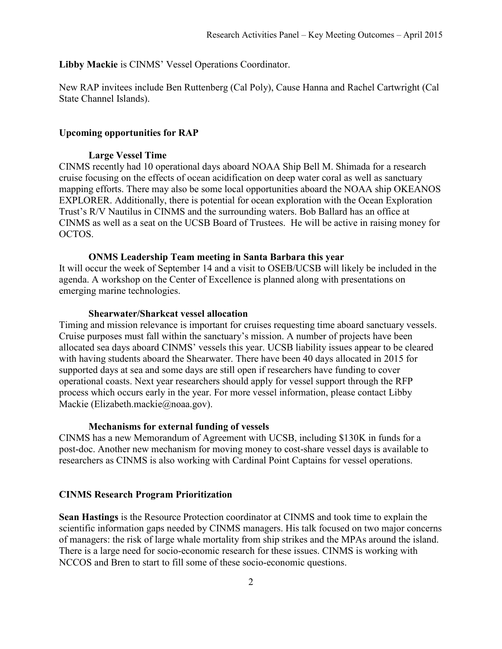#### **Libby Mackie** is CINMS' Vessel Operations Coordinator.

New RAP invitees include Ben Ruttenberg (Cal Poly), Cause Hanna and Rachel Cartwright (Cal State Channel Islands).

#### **Upcoming opportunities for RAP**

#### **Large Vessel Time**

 mapping efforts. There may also be some local opportunities aboard the NOAA ship OKEANOS Trust's R/V Nautilus in CINMS and the surrounding waters. Bob Ballard has an office at CINMS as well as a seat on the UCSB Board of Trustees. He will be active in raising money for CINMS recently had 10 operational days aboard NOAA Ship Bell M. Shimada for a research cruise focusing on the effects of ocean acidification on deep water coral as well as sanctuary EXPLORER. Additionally, there is potential for ocean exploration with the Ocean Exploration OCTOS.

#### **ONMS Leadership Team meeting in Santa Barbara this year**

It will occur the week of September 14 and a visit to OSEB/UCSB will likely be included in the agenda. A workshop on the Center of Excellence is planned along with presentations on emerging marine technologies.

#### **Shearwater/Sharkcat vessel allocation**

 Cruise purposes must fall within the sanctuary's mission. A number of projects have been Timing and mission relevance is important for cruises requesting time aboard sanctuary vessels. allocated sea days aboard CINMS' vessels this year. UCSB liability issues appear to be cleared with having students aboard the Shearwater. There have been 40 days allocated in 2015 for supported days at sea and some days are still open if researchers have funding to cover operational coasts. Next year researchers should apply for vessel support through the RFP process which occurs early in the year. For more vessel information, please contact Libby Mackie ([Elizabeth.mackie@noaa.gov](mailto:Elizabeth.mackie@noaa.gov)).

#### **Mechanisms for external funding of vessels**

 researchers as CINMS is also working with Cardinal Point Captains for vessel operations. CINMS has a new Memorandum of Agreement with UCSB, including \$130K in funds for a post-doc. Another new mechanism for moving money to cost-share vessel days is available to

#### **CINMS Research Program Prioritization**

**Sean Hastings** is the Resource Protection coordinator at CINMS and took time to explain the scientific information gaps needed by CINMS managers. His talk focused on two major concerns of managers: the risk of large whale mortality from ship strikes and the MPAs around the island. There is a large need for socio-economic research for these issues. CINMS is working with NCCOS and Bren to start to fill some of these socio-economic questions.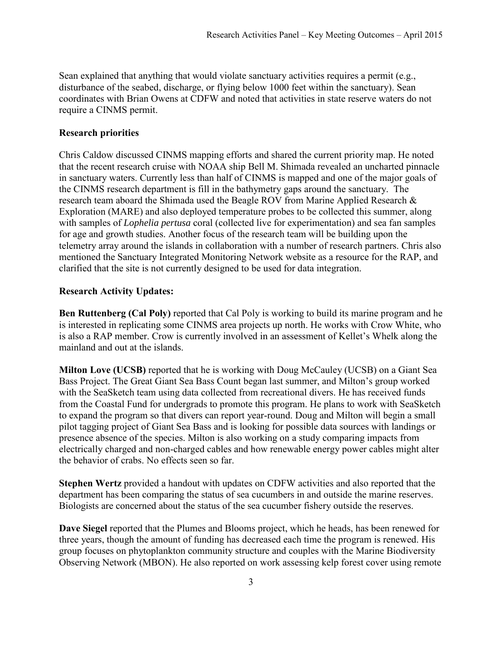Sean explained that anything that would violate sanctuary activities requires a permit (e.g., disturbance of the seabed, discharge, or flying below 1000 feet within the sanctuary). Sean coordinates with Brian Owens at CDFW and noted that activities in state reserve waters do not require a CINMS permit.

## **Research priorities**

 Chris Caldow discussed CINMS mapping efforts and shared the current priority map. He noted that the recent research cruise with NOAA ship Bell M. Shimada revealed an uncharted pinnacle research team aboard the Shimada used the Beagle ROV from Marine Applied Research & in sanctuary waters. Currently less than half of CINMS is mapped and one of the major goals of the CINMS research department is fill in the bathymetry gaps around the sanctuary. The Exploration (MARE) and also deployed temperature probes to be collected this summer, along with samples of *Lophelia pertusa* coral (collected live for experimentation) and sea fan samples for age and growth studies. Another focus of the research team will be building upon the telemetry array around the islands in collaboration with a number of research partners. Chris also mentioned the Sanctuary Integrated Monitoring Network website as a resource for the RAP, and clarified that the site is not currently designed to be used for data integration.

## **Research Activity Updates:**

**Ben Ruttenberg (Cal Poly)** reported that Cal Poly is working to build its marine program and he is interested in replicating some CINMS area projects up north. He works with Crow White, who is also a RAP member. Crow is currently involved in an assessment of Kellet's Whelk along the mainland and out at the islands.

 **Milton Love (UCSB)** reported that he is working with Doug McCauley (UCSB) on a Giant Sea to expand the program so that divers can report year-round. Doug and Milton will begin a small the behavior of crabs. No effects seen so far. Bass Project. The Great Giant Sea Bass Count began last summer, and Milton's group worked with the SeaSketch team using data collected from recreational divers. He has received funds from the Coastal Fund for undergrads to promote this program. He plans to work with SeaSketch pilot tagging project of Giant Sea Bass and is looking for possible data sources with landings or presence absence of the species. Milton is also working on a study comparing impacts from electrically charged and non-charged cables and how renewable energy power cables might alter

**Stephen Wertz** provided a handout with updates on CDFW activities and also reported that the department has been comparing the status of sea cucumbers in and outside the marine reserves. Biologists are concerned about the status of the sea cucumber fishery outside the reserves.

**Dave Siegel** reported that the Plumes and Blooms project, which he heads, has been renewed for three years, though the amount of funding has decreased each time the program is renewed. His group focuses on phytoplankton community structure and couples with the Marine Biodiversity Observing Network (MBON). He also reported on work assessing kelp forest cover using remote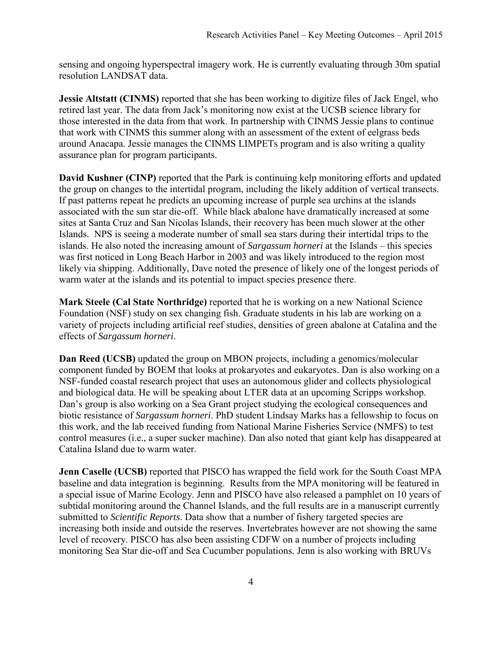sensing and ongoing hyperspectral imagery work. He is currently evaluating through 30m spatial resolution LANDSAT data.

**Jessie Altstatt (CINMS)** reported that she has been working to digitize files of Jack Engel, who retired last year. The data from Jack's monitoring now exist at the UCSB science library for those interested in the data from that work. In partnership with CINMS Jessie plans to continue that work with CINMS this summer along with an assessment of the extent of eelgrass beds around Anacapa. Jessie manages the CINMS LIMPETs program and is also writing a quality assurance plan for program participants.

 If past patterns repeat he predicts an upcoming increase of purple sea urchins at the islands associated with the sun star die-off. While black abalone have dramatically increased at some islands. He also noted the increasing amount of *Sargassum horneri* at the Islands – this species likely via shipping. Additionally, Dave noted the presence of likely one of the longest periods of **David Kushner (CINP)** reported that the Park is continuing kelp monitoring efforts and updated the group on changes to the intertidal program, including the likely addition of vertical transects. sites at Santa Cruz and San Nicolas Islands, their recovery has been much slower at the other Islands. NPS is seeing a moderate number of small sea stars during their intertidal trips to the was first noticed in Long Beach Harbor in 2003 and was likely introduced to the region most warm water at the islands and its potential to impact species presence there.

 Foundation (NSF) study on sex changing fish. Graduate students in his lab are working on a **Mark Steele (Cal State Northridge)** reported that he is working on a new National Science variety of projects including artificial reef studies, densities of green abalone at Catalina and the effects of *Sargassum horneri*.

 **Dan Reed (UCSB)** updated the group on MBON projects, including a genomics/molecular component funded by BOEM that looks at prokaryotes and eukaryotes. Dan is also working on a NSF-funded coastal research project that uses an autonomous glider and collects physiological and biological data. He will be speaking about LTER data at an upcoming Scripps workshop. Dan's group is also working on a Sea Grant project studying the ecological consequences and biotic resistance of *Sargassum horneri*. PhD student Lindsay Marks has a fellowship to focus on this work, and the lab received funding from National Marine Fisheries Service (NMFS) to test control measures (i.e., a super sucker machine). Dan also noted that giant kelp has disappeared at Catalina Island due to warm water.

 **Jenn Caselle (UCSB)** reported that PISCO has wrapped the field work for the South Coast MPA baseline and data integration is beginning. Results from the MPA monitoring will be featured in a special issue of Marine Ecology. Jenn and PISCO have also released a pamphlet on 10 years of subtidal monitoring around the Channel Islands, and the full results are in a manuscript currently submitted to *Scientific Reports*. Data show that a number of fishery targeted species are increasing both inside and outside the reserves. Invertebrates however are not showing the same level of recovery. PISCO has also been assisting CDFW on a number of projects including monitoring Sea Star die-off and Sea Cucumber populations. Jenn is also working with BRUVs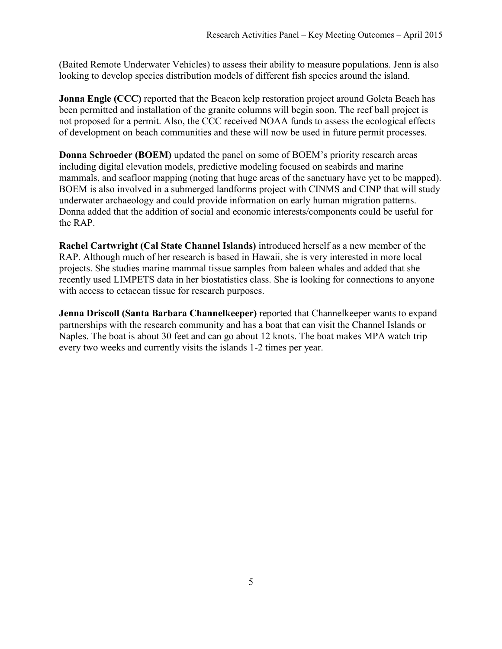(Baited Remote Underwater Vehicles) to assess their ability to measure populations. Jenn is also looking to develop species distribution models of different fish species around the island.

 **Jonna Engle (CCC)** reported that the Beacon kelp restoration project around Goleta Beach has been permitted and installation of the granite columns will begin soon. The reef ball project is not proposed for a permit. Also, the CCC received NOAA funds to assess the ecological effects of development on beach communities and these will now be used in future permit processes.

**Donna Schroeder (BOEM)** updated the panel on some of BOEM's priority research areas including digital elevation models, predictive modeling focused on seabirds and marine mammals, and seafloor mapping (noting that huge areas of the sanctuary have yet to be mapped). BOEM is also involved in a submerged landforms project with CINMS and CINP that will study underwater archaeology and could provide information on early human migration patterns. Donna added that the addition of social and economic interests/components could be useful for the RAP.

**Rachel Cartwright (Cal State Channel Islands)** introduced herself as a new member of the RAP. Although much of her research is based in Hawaii, she is very interested in more local projects. She studies marine mammal tissue samples from baleen whales and added that she recently used LIMPETS data in her biostatistics class. She is looking for connections to anyone with access to cetacean tissue for research purposes.

**Jenna Driscoll (Santa Barbara Channelkeeper)** reported that Channelkeeper wants to expand partnerships with the research community and has a boat that can visit the Channel Islands or Naples. The boat is about 30 feet and can go about 12 knots. The boat makes MPA watch trip every two weeks and currently visits the islands 1-2 times per year.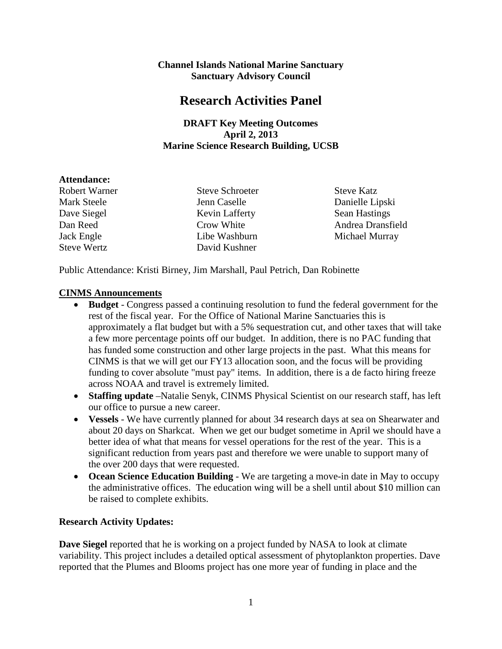## **Channel Islands National Marine Sanctuary Sanctuary Advisory Council**

# **Research Activities Panel**

## **DRAFT Key Meeting Outcomes April 2, 2013 Marine Science Research Building, UCSB**

## **Attendance:**

Robert Warner Steve Schroeter Steve Katz

Mark Steele Jenn Caselle Danielle Lipski Dave Siegel **Kevin Lafferty** Sean Hastings Steve Wertz David Kushner

Dan Reed Crow White Andrea Dransfield Jack Engle Libe Washburn Michael Murray

Public Attendance: Kristi Birney, Jim Marshall, Paul Petrich, Dan Robinette

## **CINMS Announcements**

- rest of the fiscal year. For the Office of National Marine Sanctuaries this is CINMS is that we will get our FY13 allocation soon, and the focus will be providing across NOAA and travel is extremely limited. • **Budget** - Congress passed a continuing resolution to fund the federal government for the approximately a flat budget but with a 5% sequestration cut, and other taxes that will take a few more percentage points off our budget. In addition, there is no PAC funding that has funded some construction and other large projects in the past. What this means for funding to cover absolute "must pay" items. In addition, there is a de facto hiring freeze
- our office to pursue a new career. • **Staffing update** –Natalie Senyk, CINMS Physical Scientist on our research staff, has left
- • **Vessels** We have currently planned for about 34 research days at sea on Shearwater and better idea of what that means for vessel operations for the rest of the year. This is a about 20 days on Sharkcat. When we get our budget sometime in April we should have a significant reduction from years past and therefore we were unable to support many of the over 200 days that were requested.
- be raised to complete exhibits. • **Ocean Science Education Building** - We are targeting a move-in date in May to occupy the administrative offices. The education wing will be a shell until about \$10 million can

## **Research Activity Updates:**

 reported that the Plumes and Blooms project has one more year of funding in place and the **Dave Siegel** reported that he is working on a project funded by NASA to look at climate variability. This project includes a detailed optical assessment of phytoplankton properties. Dave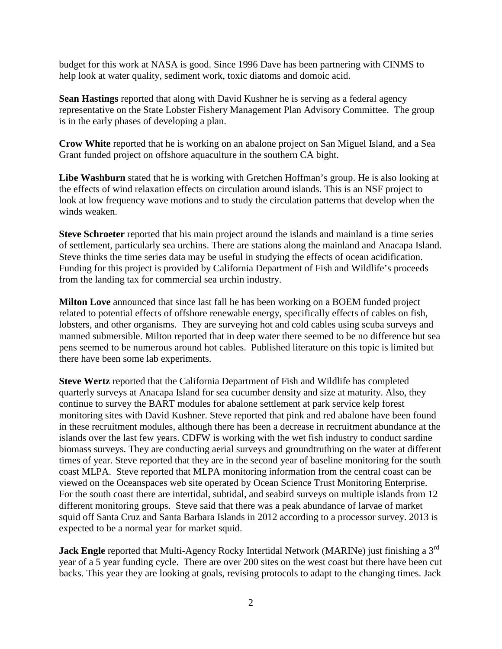budget for this work at NASA is good. Since 1996 Dave has been partnering with CINMS to help look at water quality, sediment work, toxic diatoms and domoic acid.

 **Sean Hastings** reported that along with David Kushner he is serving as a federal agency representative on the State Lobster Fishery Management Plan Advisory Committee. The group is in the early phases of developing a plan.

**Crow White** reported that he is working on an abalone project on San Miguel Island, and a Sea Grant funded project on offshore aquaculture in the southern CA bight.

**Libe Washburn** stated that he is working with Gretchen Hoffman's group. He is also looking at the effects of wind relaxation effects on circulation around islands. This is an NSF project to look at low frequency wave motions and to study the circulation patterns that develop when the winds weaken.

 Steve thinks the time series data may be useful in studying the effects of ocean acidification. **Steve Schroeter** reported that his main project around the islands and mainland is a time series of settlement, particularly sea urchins. There are stations along the mainland and Anacapa Island. Funding for this project is provided by California Department of Fish and Wildlife's proceeds from the landing tax for commercial sea urchin industry.

**Milton Love** announced that since last fall he has been working on a BOEM funded project related to potential effects of offshore renewable energy, specifically effects of cables on fish, lobsters, and other organisms. They are surveying hot and cold cables using scuba surveys and manned submersible. Milton reported that in deep water there seemed to be no difference but sea pens seemed to be numerous around hot cables. Published literature on this topic is limited but there have been some lab experiments.

 islands over the last few years. CDFW is working with the wet fish industry to conduct sardine times of year. Steve reported that they are in the second year of baseline monitoring for the south viewed on the Oceanspaces web site operated by Ocean Science Trust Monitoring Enterprise. expected to be a normal year for market squid. **Steve Wertz** reported that the California Department of Fish and Wildlife has completed quarterly surveys at Anacapa Island for sea cucumber density and size at maturity. Also, they continue to survey the BART modules for abalone settlement at park service kelp forest monitoring sites with David Kushner. Steve reported that pink and red abalone have been found in these recruitment modules, although there has been a decrease in recruitment abundance at the biomass surveys. They are conducting aerial surveys and groundtruthing on the water at different coast MLPA. Steve reported that MLPA monitoring information from the central coast can be For the south coast there are intertidal, subtidal, and seabird surveys on multiple islands from 12 different monitoring groups. Steve said that there was a peak abundance of larvae of market squid off Santa Cruz and Santa Barbara Islands in 2012 according to a processor survey. 2013 is

 backs. This year they are looking at goals, revising protocols to adapt to the changing times. Jack **Jack Engle** reported that Multi-Agency Rocky Intertidal Network (MARINe) just finishing a 3<sup>rd</sup> year of a 5 year funding cycle. There are over 200 sites on the west coast but there have been cut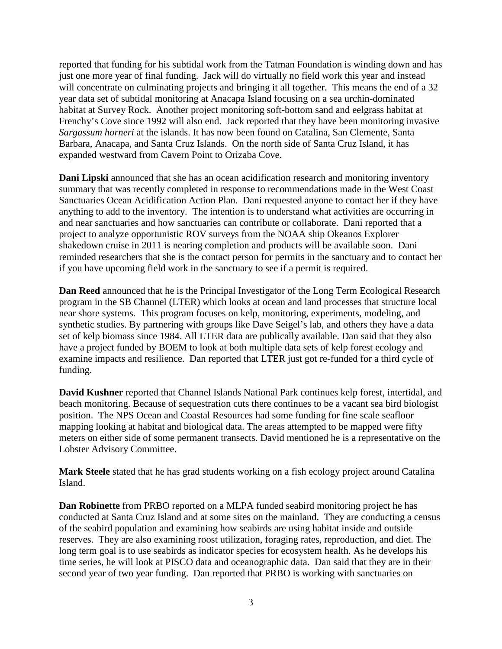reported that funding for his subtidal work from the Tatman Foundation is winding down and has habitat at Survey Rock. Another project monitoring soft-bottom sand and eelgrass habitat at just one more year of final funding. Jack will do virtually no field work this year and instead will concentrate on culminating projects and bringing it all together. This means the end of a 32 year data set of subtidal monitoring at Anacapa Island focusing on a sea urchin-dominated Frenchy's Cove since 1992 will also end. Jack reported that they have been monitoring invasive *Sargassum horneri* at the islands. It has now been found on Catalina, San Clemente, Santa Barbara, Anacapa, and Santa Cruz Islands. On the north side of Santa Cruz Island, it has expanded westward from Cavern Point to Orizaba Cove.

 if you have upcoming field work in the sanctuary to see if a permit is required. **Dani Lipski** announced that she has an ocean acidification research and monitoring inventory summary that was recently completed in response to recommendations made in the West Coast Sanctuaries Ocean Acidification Action Plan. Dani requested anyone to contact her if they have anything to add to the inventory. The intention is to understand what activities are occurring in and near sanctuaries and how sanctuaries can contribute or collaborate. Dani reported that a project to analyze opportunistic ROV surveys from the NOAA ship Okeanos Explorer shakedown cruise in 2011 is nearing completion and products will be available soon. Dani reminded researchers that she is the contact person for permits in the sanctuary and to contact her

**Dan Reed** announced that he is the Principal Investigator of the Long Term Ecological Research program in the SB Channel (LTER) which looks at ocean and land processes that structure local near shore systems. This program focuses on kelp, monitoring, experiments, modeling, and synthetic studies. By partnering with groups like Dave Seigel's lab, and others they have a data set of kelp biomass since 1984. All LTER data are publically available. Dan said that they also have a project funded by BOEM to look at both multiple data sets of kelp forest ecology and examine impacts and resilience. Dan reported that LTER just got re-funded for a third cycle of funding.

 position. The NPS Ocean and Coastal Resources had some funding for fine scale seafloor **David Kushner** reported that Channel Islands National Park continues kelp forest, intertidal, and beach monitoring. Because of sequestration cuts there continues to be a vacant sea bird biologist mapping looking at habitat and biological data. The areas attempted to be mapped were fifty meters on either side of some permanent transects. David mentioned he is a representative on the Lobster Advisory Committee.

 **Mark Steele** stated that he has grad students working on a fish ecology project around Catalina Island.

 conducted at Santa Cruz Island and at some sites on the mainland. They are conducting a census time series, he will look at PISCO data and oceanographic data. Dan said that they are in their **Dan Robinette** from PRBO reported on a MLPA funded seabird monitoring project he has of the seabird population and examining how seabirds are using habitat inside and outside reserves. They are also examining roost utilization, foraging rates, reproduction, and diet. The long term goal is to use seabirds as indicator species for ecosystem health. As he develops his second year of two year funding. Dan reported that PRBO is working with sanctuaries on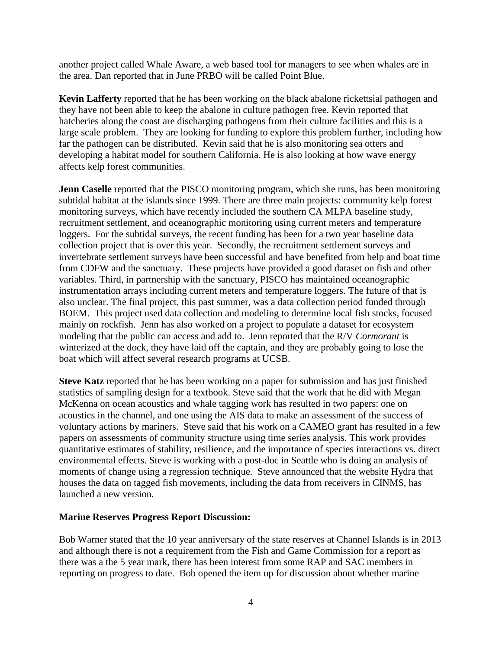another project called Whale Aware, a web based tool for managers to see when whales are in the area. Dan reported that in June PRBO will be called Point Blue.

 developing a habitat model for southern California. He is also looking at how wave energy **Kevin Lafferty** reported that he has been working on the black abalone rickettsial pathogen and they have not been able to keep the abalone in culture pathogen free. Kevin reported that hatcheries along the coast are discharging pathogens from their culture facilities and this is a large scale problem. They are looking for funding to explore this problem further, including how far the pathogen can be distributed. Kevin said that he is also monitoring sea otters and affects kelp forest communities.

Jenn Caselle reported that the PISCO monitoring program, which she runs, has been monitoring collection project that is over this year. Secondly, the recruitment settlement surveys and also unclear. The final project, this past summer, was a data collection period funded through modeling that the public can access and add to. Jenn reported that the R/V *Cormorant* is subtidal habitat at the islands since 1999. There are three main projects: community kelp forest monitoring surveys, which have recently included the southern CA MLPA baseline study, recruitment settlement, and oceanographic monitoring using current meters and temperature loggers. For the subtidal surveys, the recent funding has been for a two year baseline data invertebrate settlement surveys have been successful and have benefited from help and boat time from CDFW and the sanctuary. These projects have provided a good dataset on fish and other variables. Third, in partnership with the sanctuary, PISCO has maintained oceanographic instrumentation arrays including current meters and temperature loggers. The future of that is BOEM. This project used data collection and modeling to determine local fish stocks, focused mainly on rockfish. Jenn has also worked on a project to populate a dataset for ecosystem winterized at the dock, they have laid off the captain, and they are probably going to lose the boat which will affect several research programs at UCSB.

 quantitative estimates of stability, resilience, and the importance of species interactions vs. direct **Steve Katz** reported that he has been working on a paper for submission and has just finished statistics of sampling design for a textbook. Steve said that the work that he did with Megan McKenna on ocean acoustics and whale tagging work has resulted in two papers: one on acoustics in the channel, and one using the AIS data to make an assessment of the success of voluntary actions by mariners. Steve said that his work on a CAMEO grant has resulted in a few papers on assessments of community structure using time series analysis. This work provides environmental effects. Steve is working with a post-doc in Seattle who is doing an analysis of moments of change using a regression technique. Steve announced that the website Hydra that houses the data on tagged fish movements, including the data from receivers in CINMS, has launched a new version.

## **Marine Reserves Progress Report Discussion:**

 there was a the 5 year mark, there has been interest from some RAP and SAC members in Bob Warner stated that the 10 year anniversary of the state reserves at Channel Islands is in 2013 and although there is not a requirement from the Fish and Game Commission for a report as reporting on progress to date. Bob opened the item up for discussion about whether marine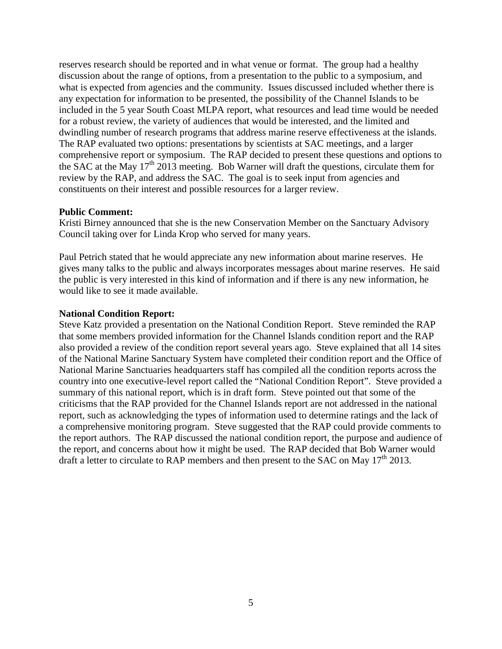what is expected from agencies and the community. Issues discussed included whether there is dwindling number of research programs that address marine reserve effectiveness at the islands. comprehensive report or symposium. The RAP decided to present these questions and options to reserves research should be reported and in what venue or format. The group had a healthy discussion about the range of options, from a presentation to the public to a symposium, and any expectation for information to be presented, the possibility of the Channel Islands to be included in the 5 year South Coast MLPA report, what resources and lead time would be needed for a robust review, the variety of audiences that would be interested, and the limited and The RAP evaluated two options: presentations by scientists at SAC meetings, and a larger the SAC at the May  $17<sup>th</sup>$  2013 meeting. Bob Warner will draft the questions, circulate them for review by the RAP, and address the SAC. The goal is to seek input from agencies and constituents on their interest and possible resources for a larger review.

#### **Public Comment:**

 Council taking over for Linda Krop who served for many years. Kristi Birney announced that she is the new Conservation Member on the Sanctuary Advisory

Paul Petrich stated that he would appreciate any new information about marine reserves. He gives many talks to the public and always incorporates messages about marine reserves. He said the public is very interested in this kind of information and if there is any new information, he would like to see it made available.

#### **National Condition Report:**

Steve Katz provided a presentation on the National Condition Report. Steve reminded the RAP that some members provided information for the Channel Islands condition report and the RAP also provided a review of the condition report several years ago. Steve explained that all 14 sites of the National Marine Sanctuary System have completed their condition report and the Office of National Marine Sanctuaries headquarters staff has compiled all the condition reports across the country into one executive-level report called the "National Condition Report". Steve provided a summary of this national report, which is in draft form. Steve pointed out that some of the criticisms that the RAP provided for the Channel Islands report are not addressed in the national report, such as acknowledging the types of information used to determine ratings and the lack of a comprehensive monitoring program. Steve suggested that the RAP could provide comments to the report authors. The RAP discussed the national condition report, the purpose and audience of the report, and concerns about how it might be used. The RAP decided that Bob Warner would draft a letter to circulate to RAP members and then present to the SAC on May  $17<sup>th</sup>$  2013.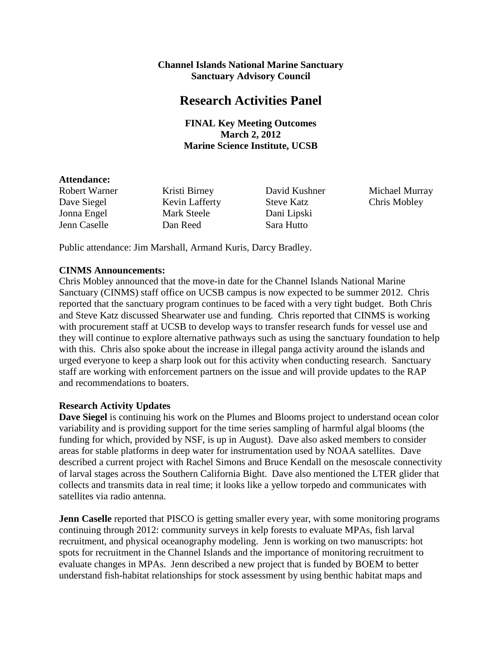## **Channel Islands National Marine Sanctuary Sanctuary Advisory Council**

## **Research Activities Panel**

## **FINAL Key Meeting Outcomes March 2, 2012 Marine Science Institute, UCSB**

#### **Attendance:**

Dave Siegel Kevin Lafferty Steve Katz Chris Mobley Jonna Engel Mark Steele Dani Lipski Jenn Caselle Dan Reed Sara Hutto

Dani Lipski

Robert Warner Kristi Birney David Kushner Michael Murray

Public attendance: Jim Marshall, Armand Kuris, Darcy Bradley.

## **CINMS Announcements:**

 with this. Chris also spoke about the increase in illegal panga activity around the islands and Chris Mobley announced that the move-in date for the Channel Islands National Marine Sanctuary (CINMS) staff office on UCSB campus is now expected to be summer 2012. Chris reported that the sanctuary program continues to be faced with a very tight budget. Both Chris and Steve Katz discussed Shearwater use and funding. Chris reported that CINMS is working with procurement staff at UCSB to develop ways to transfer research funds for vessel use and they will continue to explore alternative pathways such as using the sanctuary foundation to help urged everyone to keep a sharp look out for this activity when conducting research. Sanctuary staff are working with enforcement partners on the issue and will provide updates to the RAP and recommendations to boaters.

## **Research Activity Updates**

**Dave Siegel** is continuing his work on the Plumes and Blooms project to understand ocean color variability and is providing support for the time series sampling of harmful algal blooms (the funding for which, provided by NSF, is up in August). Dave also asked members to consider areas for stable platforms in deep water for instrumentation used by NOAA satellites. Dave described a current project with Rachel Simons and Bruce Kendall on the mesoscale connectivity of larval stages across the Southern California Bight. Dave also mentioned the LTER glider that collects and transmits data in real time; it looks like a yellow torpedo and communicates with satellites via radio antenna.

**Jenn Caselle** reported that PISCO is getting smaller every year, with some monitoring programs continuing through 2012: community surveys in kelp forests to evaluate MPAs, fish larval recruitment, and physical oceanography modeling. Jenn is working on two manuscripts: hot spots for recruitment in the Channel Islands and the importance of monitoring recruitment to evaluate changes in MPAs. Jenn described a new project that is funded by BOEM to better understand fish-habitat relationships for stock assessment by using benthic habitat maps and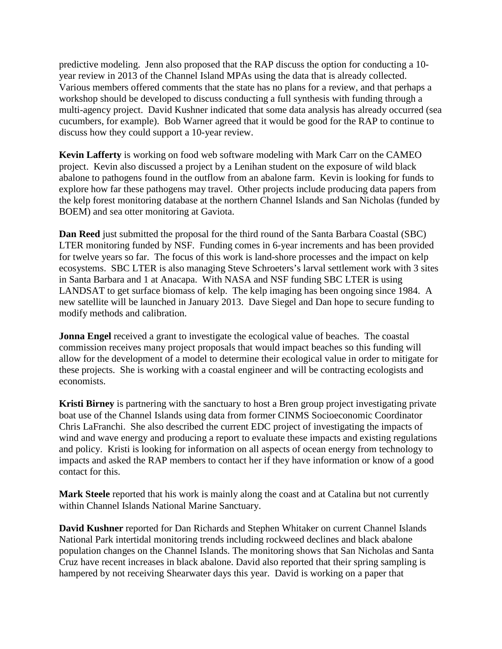year review in 2013 of the Channel Island MPAs using the data that is already collected. Various members offered comments that the state has no plans for a review, and that perhaps a cucumbers, for example). Bob Warner agreed that it would be good for the RAP to continue to discuss how they could support a 10-year review. predictive modeling. Jenn also proposed that the RAP discuss the option for conducting a 10 workshop should be developed to discuss conducting a full synthesis with funding through a multi-agency project. David Kushner indicated that some data analysis has already occurred (sea

 project. Kevin also discussed a project by a Lenihan student on the exposure of wild black **Kevin Lafferty** is working on food web software modeling with Mark Carr on the CAMEO abalone to pathogens found in the outflow from an abalone farm. Kevin is looking for funds to explore how far these pathogens may travel. Other projects include producing data papers from the kelp forest monitoring database at the northern Channel Islands and San Nicholas (funded by BOEM) and sea otter monitoring at Gaviota.

 ecosystems. SBC LTER is also managing Steve Schroeters's larval settlement work with 3 sites **Dan Reed** just submitted the proposal for the third round of the Santa Barbara Coastal (SBC) LTER monitoring funded by NSF. Funding comes in 6-year increments and has been provided for twelve years so far. The focus of this work is land-shore processes and the impact on kelp in Santa Barbara and 1 at Anacapa. With NASA and NSF funding SBC LTER is using LANDSAT to get surface biomass of kelp. The kelp imaging has been ongoing since 1984. A new satellite will be launched in January 2013. Dave Siegel and Dan hope to secure funding to modify methods and calibration.

**Jonna Engel** received a grant to investigate the ecological value of beaches. The coastal commission receives many project proposals that would impact beaches so this funding will allow for the development of a model to determine their ecological value in order to mitigate for these projects. She is working with a coastal engineer and will be contracting ecologists and economists.

**Kristi Birney** is partnering with the sanctuary to host a Bren group project investigating private boat use of the Channel Islands using data from former CINMS Socioeconomic Coordinator Chris LaFranchi. She also described the current EDC project of investigating the impacts of wind and wave energy and producing a report to evaluate these impacts and existing regulations and policy. Kristi is looking for information on all aspects of ocean energy from technology to impacts and asked the RAP members to contact her if they have information or know of a good contact for this.

**Mark Steele** reported that his work is mainly along the coast and at Catalina but not currently within Channel Islands National Marine Sanctuary.

**David Kushner** reported for Dan Richards and Stephen Whitaker on current Channel Islands National Park intertidal monitoring trends including rockweed declines and black abalone population changes on the Channel Islands. The monitoring shows that San Nicholas and Santa Cruz have recent increases in black abalone. David also reported that their spring sampling is hampered by not receiving Shearwater days this year. David is working on a paper that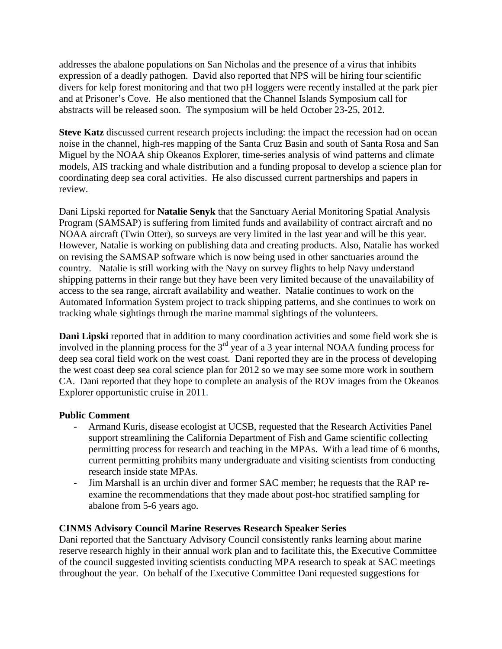divers for kelp forest monitoring and that two pH loggers were recently installed at the park pier addresses the abalone populations on San Nicholas and the presence of a virus that inhibits expression of a deadly pathogen. David also reported that NPS will be hiring four scientific and at Prisoner's Cove. He also mentioned that the Channel Islands Symposium call for abstracts will be released soon. The symposium will be held October 23-25, 2012.

**Steve Katz** discussed current research projects including: the impact the recession had on ocean noise in the channel, high-res mapping of the Santa Cruz Basin and south of Santa Rosa and San Miguel by the NOAA ship Okeanos Explorer, time-series analysis of wind patterns and climate models, AIS tracking and whale distribution and a funding proposal to develop a science plan for coordinating deep sea coral activities. He also discussed current partnerships and papers in review.

 NOAA aircraft (Twin Otter), so surveys are very limited in the last year and will be this year. access to the sea range, aircraft availability and weather. Natalie continues to work on the Dani Lipski reported for **Natalie Senyk** that the Sanctuary Aerial Monitoring Spatial Analysis Program (SAMSAP) is suffering from limited funds and availability of contract aircraft and no However, Natalie is working on publishing data and creating products. Also, Natalie has worked on revising the SAMSAP software which is now being used in other sanctuaries around the country. Natalie is still working with the Navy on survey flights to help Navy understand shipping patterns in their range but they have been very limited because of the unavailability of Automated Information System project to track shipping patterns, and she continues to work on tracking whale sightings through the marine mammal sightings of the volunteers.

**Dani Lipski** reported that in addition to many coordination activities and some field work she is involved in the planning process for the  $3<sup>rd</sup>$  year of a 3 year internal NOAA funding process for deep sea coral field work on the west coast. Dani reported they are in the process of developing the west coast deep sea coral science plan for 2012 so we may see some more work in southern CA. Dani reported that they hope to complete an analysis of the ROV images from the Okeanos Explorer opportunistic cruise in 2011.

## **Public Comment**

- research inside state MPAs. - Armand Kuris, disease ecologist at UCSB, requested that the Research Activities Panel support streamlining the California Department of Fish and Game scientific collecting permitting process for research and teaching in the MPAs. With a lead time of 6 months, current permitting prohibits many undergraduate and visiting scientists from conducting
- Jim Marshall is an urchin diver and former SAC member; he requests that the RAP reexamine the recommendations that they made about post-hoc stratified sampling for abalone from 5-6 years ago.

## **CINMS Advisory Council Marine Reserves Research Speaker Series**

Dani reported that the Sanctuary Advisory Council consistently ranks learning about marine reserve research highly in their annual work plan and to facilitate this, the Executive Committee of the council suggested inviting scientists conducting MPA research to speak at SAC meetings throughout the year. On behalf of the Executive Committee Dani requested suggestions for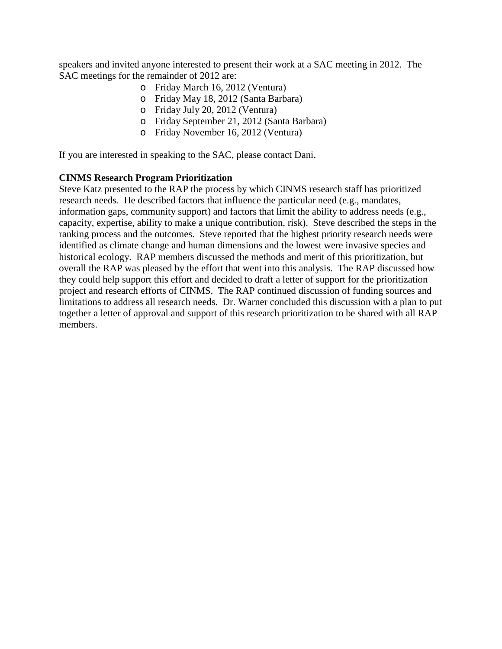SAC meetings for the remainder of 2012 are: speakers and invited anyone interested to present their work at a SAC meeting in 2012. The

- o Friday March 16, 2012 (Ventura)
- o Friday May 18, 2012 (Santa Barbara)
- o Friday July 20, 2012 (Ventura)
- o Friday September 21, 2012 (Santa Barbara)
- o Friday November 16, 2012 (Ventura)

If you are interested in speaking to the SAC, please contact Dani.

## **CINMS Research Program Prioritization**

 capacity, expertise, ability to make a unique contribution, risk). Steve described the steps in the identified as climate change and human dimensions and the lowest were invasive species and overall the RAP was pleased by the effort that went into this analysis. The RAP discussed how project and research efforts of CINMS. The RAP continued discussion of funding sources and Steve Katz presented to the RAP the process by which CINMS research staff has prioritized research needs. He described factors that influence the particular need (e.g., mandates, information gaps, community support) and factors that limit the ability to address needs (e.g., ranking process and the outcomes. Steve reported that the highest priority research needs were historical ecology. RAP members discussed the methods and merit of this prioritization, but they could help support this effort and decided to draft a letter of support for the prioritization limitations to address all research needs. Dr. Warner concluded this discussion with a plan to put together a letter of approval and support of this research prioritization to be shared with all RAP members.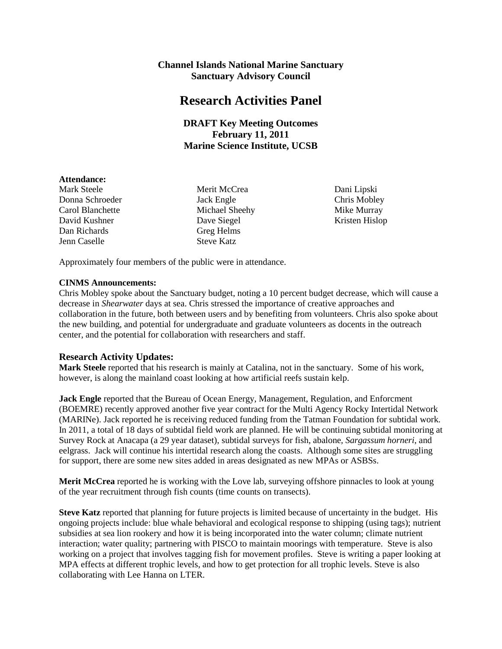## **Channel Islands National Marine Sanctuary Sanctuary Advisory Council**

## **Research Activities Panel**

## **DRAFT Key Meeting Outcomes February 11, 2011 Marine Science Institute, UCSB**

#### **Attendance:**

Donna Schroeder Jack Engle Chris Mobley Carol Blanchette Michael Sheehy Mike Murray David Kushner Dave Siegel Kristen Hislop Dan Richards Greg Helms Jenn Caselle Steve Katz

Mark Steele Merit McCrea Dani Lipski

Approximately four members of the public were in attendance.

#### **CINMS Announcements:**

 collaboration in the future, both between users and by benefiting from volunteers. Chris also spoke about Chris Mobley spoke about the Sanctuary budget, noting a 10 percent budget decrease, which will cause a decrease in *Shearwater* days at sea. Chris stressed the importance of creative approaches and the new building, and potential for undergraduate and graduate volunteers as docents in the outreach center, and the potential for collaboration with researchers and staff.

## **Research Activity Updates:**

 **Mark Steele** reported that his research is mainly at Catalina, not in the sanctuary. Some of his work, however, is along the mainland coast looking at how artificial reefs sustain kelp.

 (BOEMRE) recently approved another five year contract for the Multi Agency Rocky Intertidal Network eelgrass. Jack will continue his intertidal research along the coasts. Although some sites are struggling for support, there are some new sites added in areas designated as new MPAs or ASBSs. **Jack Engle** reported that the Bureau of Ocean Energy, Management, Regulation, and Enforcment (MARINe). Jack reported he is receiving reduced funding from the Tatman Foundation for subtidal work. In 2011, a total of 18 days of subtidal field work are planned. He will be continuing subtidal monitoring at Survey Rock at Anacapa (a 29 year dataset), subtidal surveys for fish, abalone*, Sargassum horneri*, and

**Merit McCrea** reported he is working with the Love lab, surveying offshore pinnacles to look at young of the year recruitment through fish counts (time counts on transects).

**Steve Katz** reported that planning for future projects is limited because of uncertainty in the budget. His ongoing projects include: blue whale behavioral and ecological response to shipping (using tags); nutrient subsidies at sea lion rookery and how it is being incorporated into the water column; climate nutrient interaction; water quality; partnering with PISCO to maintain moorings with temperature. Steve is also working on a project that involves tagging fish for movement profiles. Steve is writing a paper looking at MPA effects at different trophic levels, and how to get protection for all trophic levels. Steve is also collaborating with Lee Hanna on LTER.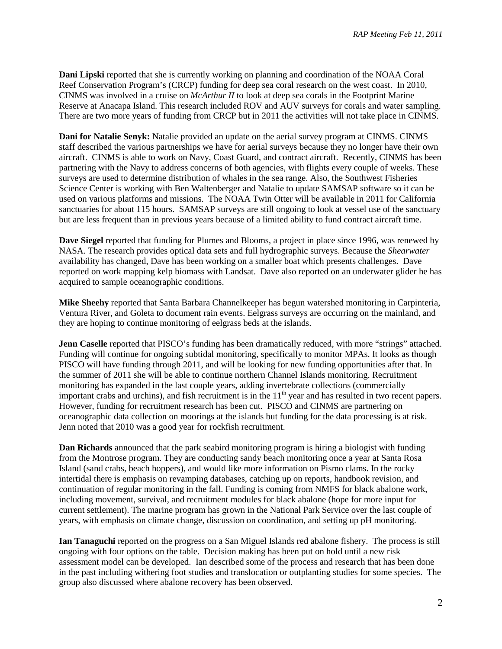**Dani Lipski** reported that she is currently working on planning and coordination of the NOAA Coral Reef Conservation Program's (CRCP) funding for deep sea coral research on the west coast. In 2010, CINMS was involved in a cruise on *McArthur II* to look at deep sea corals in the Footprint Marine Reserve at Anacapa Island. This research included ROV and AUV surveys for corals and water sampling. There are two more years of funding from CRCP but in 2011 the activities will not take place in CINMS.

 surveys are used to determine distribution of whales in the sea range. Also, the Southwest Fisheries Science Center is working with Ben Waltenberger and Natalie to update SAMSAP software so it can be used on various platforms and missions. The NOAA Twin Otter will be available in 2011 for California sanctuaries for about 115 hours. SAMSAP surveys are still ongoing to look at vessel use of the sanctuary but are less frequent than in previous years because of a limited ability to fund contract aircraft time. **Dani for Natalie Senyk:** Natalie provided an update on the aerial survey program at CINMS. CINMS staff described the various partnerships we have for aerial surveys because they no longer have their own aircraft. CINMS is able to work on Navy, Coast Guard, and contract aircraft. Recently, CINMS has been partnering with the Navy to address concerns of both agencies, with flights every couple of weeks. These

**Dave Siegel** reported that funding for Plumes and Blooms, a project in place since 1996, was renewed by NASA. The research provides optical data sets and full hydrographic surveys. Because the *Shearwater*  availability has changed, Dave has been working on a smaller boat which presents challenges. Dave reported on work mapping kelp biomass with Landsat. Dave also reported on an underwater glider he has acquired to sample oceanographic conditions.

 they are hoping to continue monitoring of eelgrass beds at the islands. **Mike Sheehy** reported that Santa Barbara Channelkeeper has begun watershed monitoring in Carpinteria, Ventura River, and Goleta to document rain events. Eelgrass surveys are occurring on the mainland, and

 Funding will continue for ongoing subtidal monitoring, specifically to monitor MPAs. It looks as though monitoring has expanded in the last couple years, adding invertebrate collections (commercially important crabs and urchins), and fish recruitment is in the  $11<sup>th</sup>$  year and has resulted in two recent papers. Jenn noted that 2010 was a good year for rockfish recruitment. **Jenn Caselle** reported that PISCO's funding has been dramatically reduced, with more "strings" attached. PISCO will have funding through 2011, and will be looking for new funding opportunities after that. In the summer of 2011 she will be able to continue northern Channel Islands monitoring. Recruitment However, funding for recruitment research has been cut. PISCO and CINMS are partnering on oceanographic data collection on moorings at the islands but funding for the data processing is at risk.

 intertidal there is emphasis on revamping databases, catching up on reports, handbook revision, and including movement, survival, and recruitment modules for black abalone (hope for more input for **Dan Richards** announced that the park seabird monitoring program is hiring a biologist with funding from the Montrose program. They are conducting sandy beach monitoring once a year at Santa Rosa Island (sand crabs, beach hoppers), and would like more information on Pismo clams. In the rocky continuation of regular monitoring in the fall. Funding is coming from NMFS for black abalone work, current settlement). The marine program has grown in the National Park Service over the last couple of years, with emphasis on climate change, discussion on coordination, and setting up pH monitoring.

 ongoing with four options on the table. Decision making has been put on hold until a new risk group also discussed where abalone recovery has been observed. **Ian Tanaguchi** reported on the progress on a San Miguel Islands red abalone fishery. The process is still assessment model can be developed. Ian described some of the process and research that has been done in the past including withering foot studies and translocation or outplanting studies for some species. The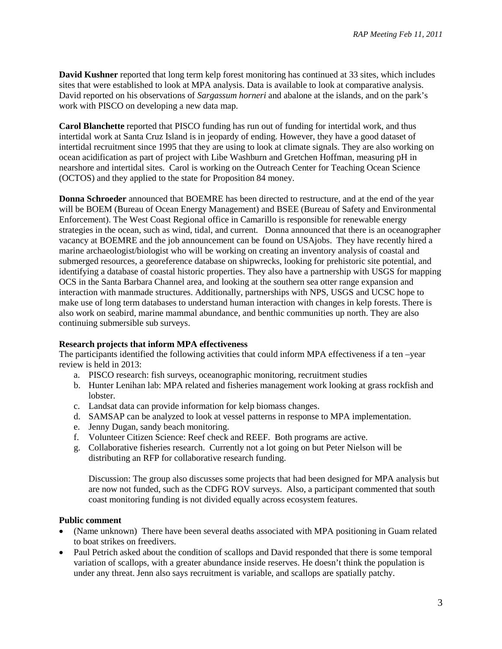David reported on his observations of *Sargassum horneri* and abalone at the islands, and on the park's **David Kushner** reported that long term kelp forest monitoring has continued at 33 sites, which includes sites that were established to look at MPA analysis. Data is available to look at comparative analysis. work with PISCO on developing a new data map.

 intertidal work at Santa Cruz Island is in jeopardy of ending. However, they have a good dataset of **Carol Blanchette** reported that PISCO funding has run out of funding for intertidal work, and thus intertidal recruitment since 1995 that they are using to look at climate signals. They are also working on ocean acidification as part of project with Libe Washburn and Gretchen Hoffman, measuring pH in nearshore and intertidal sites. Carol is working on the Outreach Center for Teaching Ocean Science (OCTOS) and they applied to the state for Proposition 84 money.

 **Donna Schroeder** announced that BOEMRE has been directed to restructure, and at the end of the year Enforcement). The West Coast Regional office in Camarillo is responsible for renewable energy vacancy at BOEMRE and the job announcement can be found on USAjobs. They have recently hired a OCS in the Santa Barbara Channel area, and looking at the southern sea otter range expansion and interaction with manmade structures. Additionally, partnerships with NPS, USGS and UCSC hope to also work on seabird, marine mammal abundance, and benthic communities up north. They are also will be BOEM (Bureau of Ocean Energy Management) and BSEE (Bureau of Safety and Environmental strategies in the ocean, such as wind, tidal, and current. Donna announced that there is an oceanographer marine archaeologist/biologist who will be working on creating an inventory analysis of coastal and submerged resources, a georeference database on shipwrecks, looking for prehistoric site potential, and identifying a database of coastal historic properties. They also have a partnership with USGS for mapping make use of long term databases to understand human interaction with changes in kelp forests. There is continuing submersible sub surveys.

#### **Research projects that inform MPA effectiveness**

 The participants identified the following activities that could inform MPA effectiveness if a ten –year review is held in 2013:

- a. PISCO research: fish surveys, oceanographic monitoring, recruitment studies
- b. Hunter Lenihan lab: MPA related and fisheries management work looking at grass rockfish and lobster.
- c. Landsat data can provide information for kelp biomass changes.
- d. SAMSAP can be analyzed to look at vessel patterns in response to MPA implementation.
- e. Jenny Dugan, sandy beach monitoring.
- f. Volunteer Citizen Science: Reef check and REEF. Both programs are active.
- g. Collaborative fisheries research. Currently not a lot going on but Peter Nielson will be distributing an RFP for collaborative research funding.

 are now not funded, such as the CDFG ROV surveys. Also, a participant commented that south Discussion: The group also discusses some projects that had been designed for MPA analysis but coast monitoring funding is not divided equally across ecosystem features.

## **Public comment**

- (Name unknown) There have been several deaths associated with MPA positioning in Guam related to boat strikes on freedivers.
- • Paul Petrich asked about the condition of scallops and David responded that there is some temporal under any threat. Jenn also says recruitment is variable, and scallops are spatially patchy. variation of scallops, with a greater abundance inside reserves. He doesn't think the population is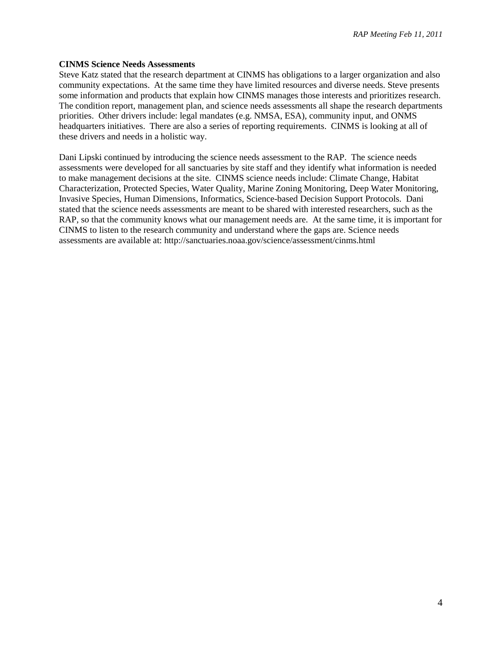#### **CINMS Science Needs Assessments**

 Steve Katz stated that the research department at CINMS has obligations to a larger organization and also community expectations. At the same time they have limited resources and diverse needs. Steve presents headquarters initiatives. There are also a series of reporting requirements. CINMS is looking at all of these drivers and needs in a holistic way. some information and products that explain how CINMS manages those interests and prioritizes research. The condition report, management plan, and science needs assessments all shape the research departments priorities. Other drivers include: legal mandates (e.g. NMSA, ESA), community input, and ONMS

 Dani Lipski continued by introducing the science needs assessment to the RAP. The science needs stated that the science needs assessments are meant to be shared with interested researchers, such as the RAP, so that the community knows what our management needs are. At the same time, it is important for assessments are available at: http://sanctuaries.noaa.gov/science/assessment/cinms.html assessments were developed for all sanctuaries by site staff and they identify what information is needed to make management decisions at the site. CINMS science needs include: Climate Change, Habitat Characterization, Protected Species, Water Quality, Marine Zoning Monitoring, Deep Water Monitoring, Invasive Species, Human Dimensions, Informatics, Science-based Decision Support Protocols. Dani CINMS to listen to the research community and understand where the gaps are. Science needs assessments are available at: http://sanctuaries.noaa.gov/science/assessment/cinms.html<br>4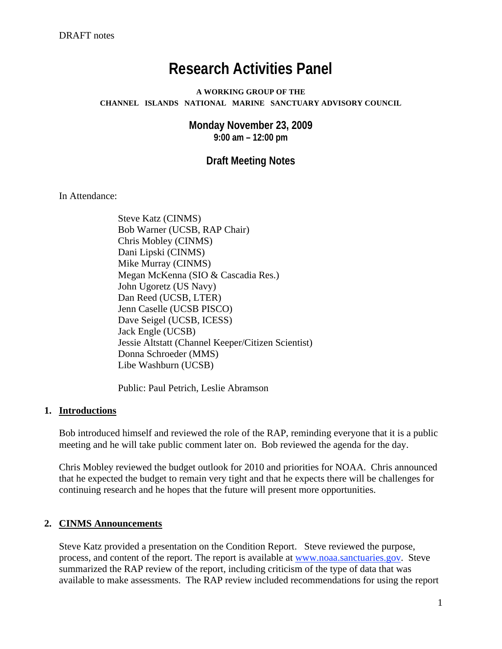# **Research Activities Panel**

#### **A WORKING GROUP OF THE CHANNEL ISLANDS NATIONAL MARINE SANCTUARY ADVISORY COUNCIL**

 **Monday November 23, 2009 9:00 am – 12:00 pm** 

 **Draft Meeting Notes** 

In Attendance:

Steve Katz (CINMS) Bob Warner (UCSB, RAP Chair) Chris Mobley (CINMS) Dani Lipski (CINMS) Mike Murray (CINMS) Megan McKenna (SIO & Cascadia Res.) John Ugoretz (US Navy) Dan Reed (UCSB, LTER) Jenn Caselle (UCSB PISCO) Dave Seigel (UCSB, ICESS) Jack Engle (UCSB) Jessie Altstatt (Channel Keeper/Citizen Scientist) Donna Schroeder (MMS) Libe Washburn (UCSB)

Public: Paul Petrich, Leslie Abramson

## **1. Introductions**

Bob introduced himself and reviewed the role of the RAP, reminding everyone that it is a public meeting and he will take public comment later on. Bob reviewed the agenda for the day.

Chris Mobley reviewed the budget outlook for 2010 and priorities for NOAA. Chris announced that he expected the budget to remain very tight and that he expects there will be challenges for continuing research and he hopes that the future will present more opportunities.

## **2. CINMS Announcements**

Steve Katz provided a presentation on the Condition Report. Steve reviewed the purpose, process, and content of the report. The report is available at<www.noaa.sanctuaries.gov>. Steve summarized the RAP review of the report, including criticism of the type of data that was available to make assessments. The RAP review included recommendations for using the report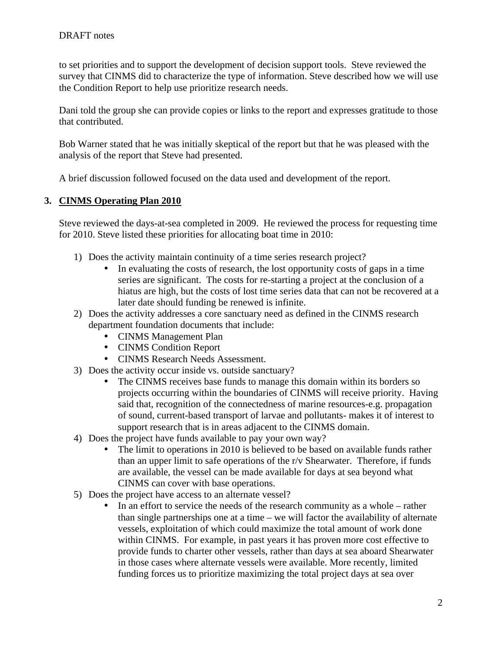to set priorities and to support the development of decision support tools. Steve reviewed the survey that CINMS did to characterize the type of information. Steve described how we will use the Condition Report to help use prioritize research needs.

Dani told the group she can provide copies or links to the report and expresses gratitude to those that contributed.

Bob Warner stated that he was initially skeptical of the report but that he was pleased with the analysis of the report that Steve had presented.

A brief discussion followed focused on the data used and development of the report.

## **3. CINMS Operating Plan 2010**

Steve reviewed the days-at-sea completed in 2009. He reviewed the process for requesting time for 2010. Steve listed these priorities for allocating boat time in 2010:

- 1) Does the activity maintain continuity of a time series research project?
	- In evaluating the costs of research, the lost opportunity costs of gaps in a time series are significant. The costs for re-starting a project at the conclusion of a hiatus are high, but the costs of lost time series data that can not be recovered at a later date should funding be renewed is infinite.
- 2) Does the activity addresses a core sanctuary need as defined in the CINMS research department foundation documents that include:
	- CINMS Management Plan
	- CINMS Condition Report
	- CINMS Research Needs Assessment.
- 3) Does the activity occur inside vs. outside sanctuary?
	- The CINMS receives base funds to manage this domain within its borders so projects occurring within the boundaries of CINMS will receive priority. Having said that, recognition of the connectedness of marine resources-e.g. propagation of sound, current-based transport of larvae and pollutants- makes it of interest to support research that is in areas adjacent to the CINMS domain.
- 4) Does the project have funds available to pay your own way?
	- The limit to operations in 2010 is believed to be based on available funds rather than an upper limit to safe operations of the r/v Shearwater. Therefore, if funds are available, the vessel can be made available for days at sea beyond what CINMS can cover with base operations.
- 5) Does the project have access to an alternate vessel?
	- In an effort to service the needs of the research community as a whole rather than single partnerships one at a time – we will factor the availability of alternate vessels, exploitation of which could maximize the total amount of work done within CINMS. For example, in past years it has proven more cost effective to provide funds to charter other vessels, rather than days at sea aboard Shearwater in those cases where alternate vessels were available. More recently, limited funding forces us to prioritize maximizing the total project days at sea over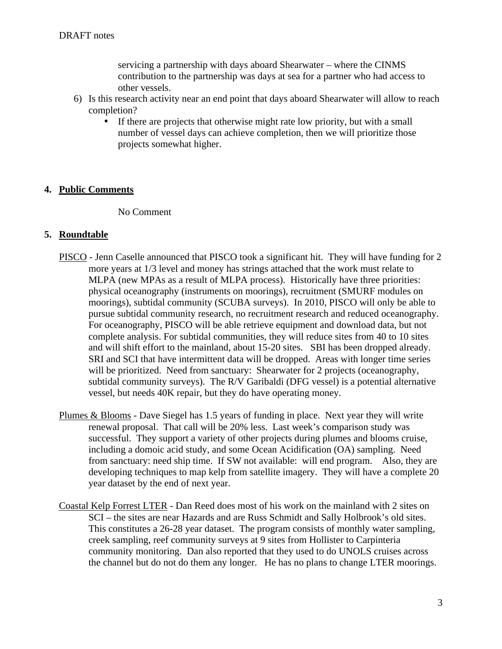servicing a partnership with days aboard Shearwater – where the CINMS contribution to the partnership was days at sea for a partner who had access to other vessels.

- 6) Is this research activity near an end point that days aboard Shearwater will allow to reach completion?
	- If there are projects that otherwise might rate low priority, but with a small number of vessel days can achieve completion, then we will prioritize those projects somewhat higher.

## **4. Public Comments**

No Comment

## **5. Roundtable**

- PISCO Jenn Caselle announced that PISCO took a significant hit. They will have funding for 2 more years at 1/3 level and money has strings attached that the work must relate to MLPA (new MPAs as a result of MLPA process). Historically have three priorities: physical oceanography (instruments on moorings), recruitment (SMURF modules on moorings), subtidal community (SCUBA surveys). In 2010, PISCO will only be able to pursue subtidal community research, no recruitment research and reduced oceanography. For oceanography, PISCO will be able retrieve equipment and download data, but not complete analysis. For subtidal communities, they will reduce sites from 40 to 10 sites and will shift effort to the mainland, about 15-20 sites. SBI has been dropped already. SRI and SCI that have intermittent data will be dropped. Areas with longer time series will be prioritized. Need from sanctuary: Shearwater for 2 projects (oceanography, subtidal community surveys). The R/V Garibaldi (DFG vessel) is a potential alternative vessel, but needs 40K repair, but they do have operating money.
- Plumes & Blooms Dave Siegel has 1.5 years of funding in place. Next year they will write renewal proposal. That call will be 20% less. Last week's comparison study was successful. They support a variety of other projects during plumes and blooms cruise, including a domoic acid study, and some Ocean Acidification (OA) sampling. Need from sanctuary: need ship time. If SW not available: will end program. Also, they are developing techniques to map kelp from satellite imagery. They will have a complete 20 year dataset by the end of next year.
- Coastal Kelp Forrest LTER Dan Reed does most of his work on the mainland with 2 sites on SCI – the sites are near Hazards and are Russ Schmidt and Sally Holbrook's old sites. This constitutes a 26-28 year dataset. The program consists of monthly water sampling, creek sampling, reef community surveys at 9 sites from Hollister to Carpinteria community monitoring. Dan also reported that they used to do UNOLS cruises across the channel but do not do them any longer. He has no plans to change LTER moorings.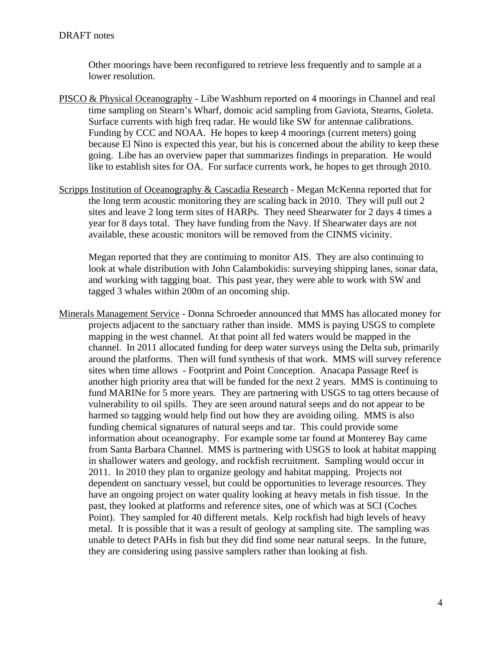Other moorings have been reconfigured to retrieve less frequently and to sample at a lower resolution.

- PISCO & Physical Oceanography Libe Washburn reported on 4 moorings in Channel and real time sampling on Stearn's Wharf, domoic acid sampling from Gaviota, Stearns, Goleta. Surface currents with high freq radar. He would like SW for antennae calibrations. Funding by CCC and NOAA. He hopes to keep 4 moorings (current meters) going because El Nino is expected this year, but his is concerned about the ability to keep these going. Libe has an overview paper that summarizes findings in preparation. He would like to establish sites for OA. For surface currents work, he hopes to get through 2010.
- Scripps Institution of Oceanography & Cascadia Research Megan McKenna reported that for the long term acoustic monitoring they are scaling back in 2010. They will pull out 2 sites and leave 2 long term sites of HARPs. They need Shearwater for 2 days 4 times a year for 8 days total. They have funding from the Navy. If Shearwater days are not available, these acoustic monitors will be removed from the CINMS vicinity.

Megan reported that they are continuing to monitor AIS. They are also continuing to look at whale distribution with John Calambokidis: surveying shipping lanes, sonar data, and working with tagging boat. This past year, they were able to work with SW and tagged 3 whales within 200m of an oncoming ship.

Minerals Management Service - Donna Schroeder announced that MMS has allocated money for projects adjacent to the sanctuary rather than inside. MMS is paying USGS to complete mapping in the west channel. At that point all fed waters would be mapped in the channel. In 2011 allocated funding for deep water surveys using the Delta sub, primarily around the platforms. Then will fund synthesis of that work. MMS will survey reference sites when time allows - Footprint and Point Conception. Anacapa Passage Reef is another high priority area that will be funded for the next 2 years. MMS is continuing to fund MARINe for 5 more years. They are partnering with USGS to tag otters because of vulnerability to oil spills. They are seen around natural seeps and do not appear to be harmed so tagging would help find out how they are avoiding oiling. MMS is also funding chemical signatures of natural seeps and tar. This could provide some information about oceanography. For example some tar found at Monterey Bay came from Santa Barbara Channel. MMS is partnering with USGS to look at habitat mapping in shallower waters and geology, and rockfish recruitment. Sampling would occur in 2011. In 2010 they plan to organize geology and habitat mapping. Projects not dependent on sanctuary vessel, but could be opportunities to leverage resources. They have an ongoing project on water quality looking at heavy metals in fish tissue. In the past, they looked at platforms and reference sites, one of which was at SCI (Coches Point). They sampled for 40 different metals. Kelp rockfish had high levels of heavy metal. It is possible that it was a result of geology at sampling site. The sampling was unable to detect PAHs in fish but they did find some near natural seeps. In the future, they are considering using passive samplers rather than looking at fish.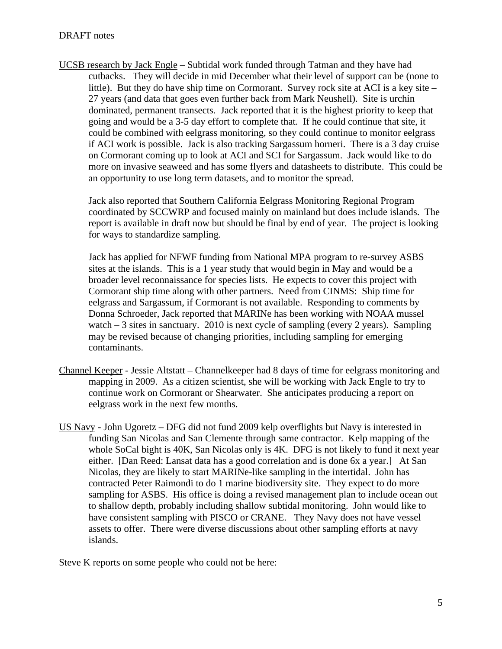UCSB research by Jack Engle – Subtidal work funded through Tatman and they have had cutbacks. They will decide in mid December what their level of support can be (none to little). But they do have ship time on Cormorant. Survey rock site at ACI is a key site – 27 years (and data that goes even further back from Mark Neushell). Site is urchin dominated, permanent transects. Jack reported that it is the highest priority to keep that going and would be a 3-5 day effort to complete that. If he could continue that site, it could be combined with eelgrass monitoring, so they could continue to monitor eelgrass if ACI work is possible. Jack is also tracking Sargassum horneri. There is a 3 day cruise on Cormorant coming up to look at ACI and SCI for Sargassum. Jack would like to do more on invasive seaweed and has some flyers and datasheets to distribute. This could be an opportunity to use long term datasets, and to monitor the spread.

Jack also reported that Southern California Eelgrass Monitoring Regional Program coordinated by SCCWRP and focused mainly on mainland but does include islands. The report is available in draft now but should be final by end of year. The project is looking for ways to standardize sampling.

Jack has applied for NFWF funding from National MPA program to re-survey ASBS sites at the islands. This is a 1 year study that would begin in May and would be a broader level reconnaissance for species lists. He expects to cover this project with Cormorant ship time along with other partners. Need from CINMS: Ship time for eelgrass and Sargassum, if Cormorant is not available. Responding to comments by Donna Schroeder, Jack reported that MARINe has been working with NOAA mussel watch  $-3$  sites in sanctuary. 2010 is next cycle of sampling (every 2 years). Sampling may be revised because of changing priorities, including sampling for emerging contaminants.

- Channel Keeper Jessie Altstatt Channelkeeper had 8 days of time for eelgrass monitoring and mapping in 2009. As a citizen scientist, she will be working with Jack Engle to try to continue work on Cormorant or Shearwater. She anticipates producing a report on eelgrass work in the next few months.
- US Navy John Ugoretz DFG did not fund 2009 kelp overflights but Navy is interested in funding San Nicolas and San Clemente through same contractor. Kelp mapping of the whole SoCal bight is 40K, San Nicolas only is 4K. DFG is not likely to fund it next year either. [Dan Reed: Lansat data has a good correlation and is done 6x a year.] At San Nicolas, they are likely to start MARINe-like sampling in the intertidal. John has contracted Peter Raimondi to do 1 marine biodiversity site. They expect to do more sampling for ASBS. His office is doing a revised management plan to include ocean out to shallow depth, probably including shallow subtidal monitoring. John would like to have consistent sampling with PISCO or CRANE. They Navy does not have vessel assets to offer. There were diverse discussions about other sampling efforts at navy islands.

Steve K reports on some people who could not be here:<br>
5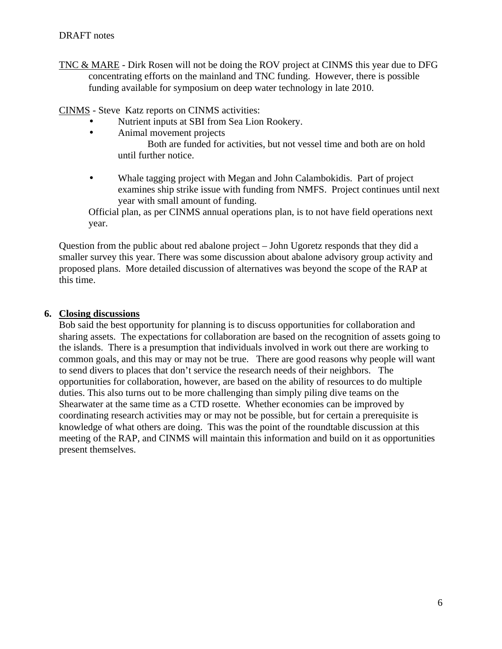- TNC & MARE Dirk Rosen will not be doing the ROV project at CINMS this year due to DFG concentrating efforts on the mainland and TNC funding. However, there is possible funding available for symposium on deep water technology in late 2010.
- CINMS Steve Katz reports on CINMS activities:
	- Nutrient inputs at SBI from Sea Lion Rookery.<br>• Animal movement projects
	- Animal movement projects

Both are funded for activities, but not vessel time and both are on hold until further notice.

• Whale tagging project with Megan and John Calambokidis. Part of project examines ship strike issue with funding from NMFS. Project continues until next year with small amount of funding.

Official plan, as per CINMS annual operations plan, is to not have field operations next year.

Question from the public about red abalone project – John Ugoretz responds that they did a smaller survey this year. There was some discussion about abalone advisory group activity and proposed plans. More detailed discussion of alternatives was beyond the scope of the RAP at this time.

## **6. Closing discussions**

Bob said the best opportunity for planning is to discuss opportunities for collaboration and sharing assets. The expectations for collaboration are based on the recognition of assets going to the islands. There is a presumption that individuals involved in work out there are working to common goals, and this may or may not be true. There are good reasons why people will want to send divers to places that don't service the research needs of their neighbors. The opportunities for collaboration, however, are based on the ability of resources to do multiple duties. This also turns out to be more challenging than simply piling dive teams on the Shearwater at the same time as a CTD rosette. Whether economies can be improved by coordinating research activities may or may not be possible, but for certain a prerequisite is knowledge of what others are doing. This was the point of the roundtable discussion at this meeting of the RAP, and CINMS will maintain this information and build on it as opportunities present themselves.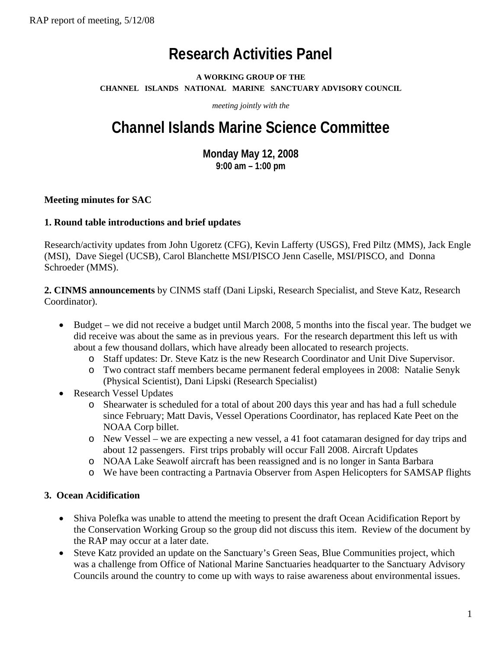# **Research Activities Panel**

## **A WORKING GROUP OF THE CHANNEL ISLANDS NATIONAL MARINE SANCTUARY ADVISORY COUNCIL**

*meeting jointly with the* 

# **Channel Islands Marine Science Committee**

**Monday May 12, 2008 9:00 am – 1:00 pm** 

## **Meeting minutes for SAC**

## **1. Round table introductions and brief updates**

Research/activity updates from John Ugoretz (CFG), Kevin Lafferty (USGS), Fred Piltz (MMS), Jack Engle (MSI), Dave Siegel (UCSB), Carol Blanchette MSI/PISCO Jenn Caselle, MSI/PISCO, and Donna Schroeder (MMS).

**2. CINMS announcements** by CINMS staff (Dani Lipski, Research Specialist, and Steve Katz, Research Coordinator).

- Budget we did not receive a budget until March 2008, 5 months into the fiscal year. The budget we did receive was about the same as in previous years. For the research department this left us with about a few thousand dollars, which have already been allocated to research projects.
	- o Staff updates: Dr. Steve Katz is the new Research Coordinator and Unit Dive Supervisor.
	- o Two contract staff members became permanent federal employees in 2008: Natalie Senyk (Physical Scientist), Dani Lipski (Research Specialist)
- Research Vessel Updates
	- o Shearwater is scheduled for a total of about 200 days this year and has had a full schedule since February; Matt Davis, Vessel Operations Coordinator, has replaced Kate Peet on the NOAA Corp billet.
	- o New Vessel we are expecting a new vessel, a 41 foot catamaran designed for day trips and about 12 passengers. First trips probably will occur Fall 2008. Aircraft Updates
	- o NOAA Lake Seawolf aircraft has been reassigned and is no longer in Santa Barbara
	- o We have been contracting a Partnavia Observer from Aspen Helicopters for SAMSAP flights

## **3. Ocean Acidification**

- Shiva Polefka was unable to attend the meeting to present the draft Ocean Acidification Report by the Conservation Working Group so the group did not discuss this item. Review of the document by the RAP may occur at a later date.
- Steve Katz provided an update on the Sanctuary's Green Seas, Blue Communities project, which was a challenge from Office of National Marine Sanctuaries headquarter to the Sanctuary Advisory Councils around the country to come up with ways to raise awareness about environmental issues.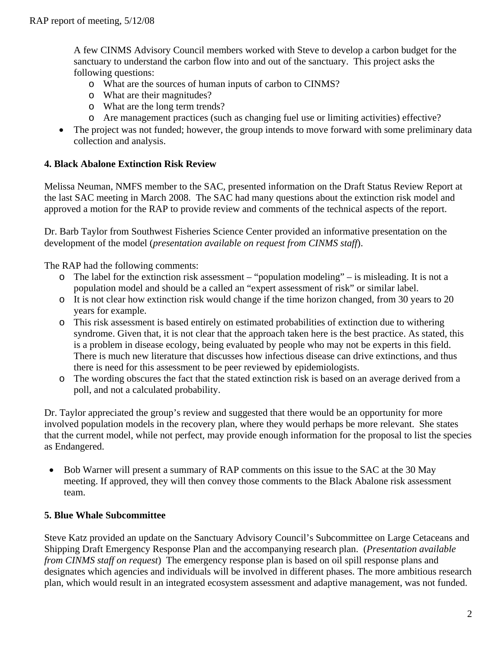A few CINMS Advisory Council members worked with Steve to develop a carbon budget for the sanctuary to understand the carbon flow into and out of the sanctuary. This project asks the following questions:

- o What are the sources of human inputs of carbon to CINMS?
- o What are their magnitudes?
- o What are the long term trends?
- o Are management practices (such as changing fuel use or limiting activities) effective?
- The project was not funded; however, the group intends to move forward with some preliminary data collection and analysis.

## **4. Black Abalone Extinction Risk Review**

Melissa Neuman, NMFS member to the SAC, presented information on the Draft Status Review Report at the last SAC meeting in March 2008. The SAC had many questions about the extinction risk model and approved a motion for the RAP to provide review and comments of the technical aspects of the report.

Dr. Barb Taylor from Southwest Fisheries Science Center provided an informative presentation on the development of the model (*presentation available on request from CINMS staff*).

The RAP had the following comments:

- o The label for the extinction risk assessment "population modeling" is misleading. It is not a population model and should be a called an "expert assessment of risk" or similar label.
- o It is not clear how extinction risk would change if the time horizon changed, from 30 years to 20 years for example.
- o This risk assessment is based entirely on estimated probabilities of extinction due to withering syndrome. Given that, it is not clear that the approach taken here is the best practice. As stated, this is a problem in disease ecology, being evaluated by people who may not be experts in this field. There is much new literature that discusses how infectious disease can drive extinctions, and thus there is need for this assessment to be peer reviewed by epidemiologists.
- o The wording obscures the fact that the stated extinction risk is based on an average derived from a poll, and not a calculated probability.

Dr. Taylor appreciated the group's review and suggested that there would be an opportunity for more involved population models in the recovery plan, where they would perhaps be more relevant. She states that the current model, while not perfect, may provide enough information for the proposal to list the species as Endangered.

• Bob Warner will present a summary of RAP comments on this issue to the SAC at the 30 May meeting. If approved, they will then convey those comments to the Black Abalone risk assessment team.

## **5. Blue Whale Subcommittee**

Steve Katz provided an update on the Sanctuary Advisory Council's Subcommittee on Large Cetaceans and Shipping Draft Emergency Response Plan and the accompanying research plan. (*Presentation available from CINMS staff on request*) The emergency response plan is based on oil spill response plans and designates which agencies and individuals will be involved in different phases. The more ambitious research plan, which would result in an integrated ecosystem assessment and adaptive management, was not funded.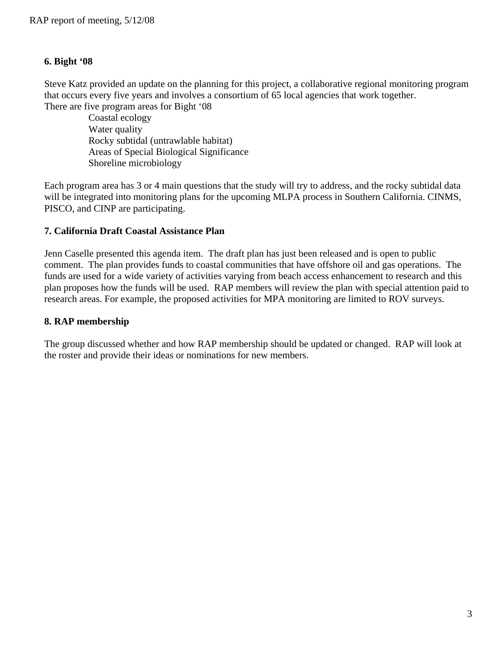## **6. Bight '08**

Steve Katz provided an update on the planning for this project, a collaborative regional monitoring program that occurs every five years and involves a consortium of 65 local agencies that work together. There are five program areas for Bight '08

Coastal ecology Water quality Rocky subtidal (untrawlable habitat) Areas of Special Biological Significance Shoreline microbiology

Each program area has 3 or 4 main questions that the study will try to address, and the rocky subtidal data will be integrated into monitoring plans for the upcoming MLPA process in Southern California. CINMS, PISCO, and CINP are participating.

## **7. California Draft Coastal Assistance Plan**

Jenn Caselle presented this agenda item. The draft plan has just been released and is open to public comment. The plan provides funds to coastal communities that have offshore oil and gas operations. The funds are used for a wide variety of activities varying from beach access enhancement to research and this plan proposes how the funds will be used. RAP members will review the plan with special attention paid to research areas. For example, the proposed activities for MPA monitoring are limited to ROV surveys.

## **8. RAP membership**

The group discussed whether and how RAP membership should be updated or changed. RAP will look at the roster and provide their ideas or nominations for new members.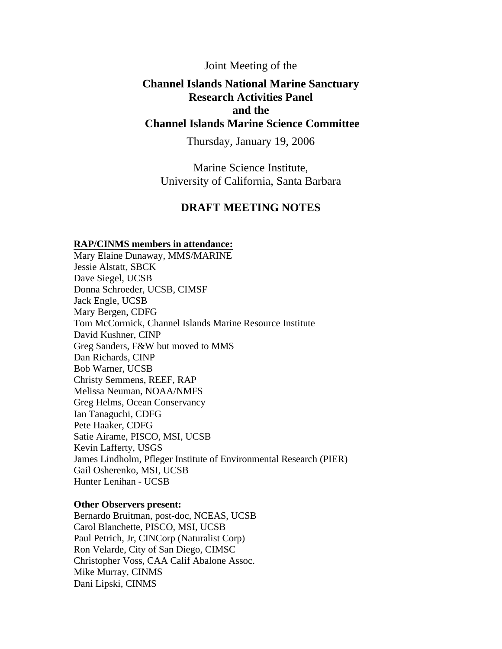## Joint Meeting of the

## **Channel Islands National Marine Sanctuary Research Activities Panel Channel Islands Marine Science Committee and the**

Thursday, January 19, 2006

 Marine Science Institute, University of California, Santa Barbara

## **DRAFT MEETING NOTES**

#### **RAP/CINMS members in attendance:**

Mary Elaine Dunaway, MMS/MARINE Jessie Alstatt, SBCK Dave Siegel, UCSB Donna Schroeder, UCSB, CIMSF Jack Engle, UCSB Mary Bergen, CDFG Tom McCormick, Channel Islands Marine Resource Institute David Kushner, CINP Greg Sanders, F&W but moved to MMS Dan Richards, CINP Bob Warner, UCSB Christy Semmens, REEF, RAP Melissa Neuman, NOAA/NMFS Greg Helms, Ocean Conservancy Ian Tanaguchi, CDFG Pete Haaker, CDFG Satie Airame, PISCO, MSI, UCSB Kevin Lafferty, USGS James Lindholm, Pfleger Institute of Environmental Research (PIER) Gail Osherenko, MSI, UCSB Hunter Lenihan - UCSB

#### **Other Observers present:**

Bernardo Bruitman, post-doc, NCEAS, UCSB Carol Blanchette, PISCO, MSI, UCSB Paul Petrich, Jr, CINCorp (Naturalist Corp) Ron Velarde, City of San Diego, CIMSC Christopher Voss, CAA Calif Abalone Assoc. Mike Murray, CINMS Dani Lipski, CINMS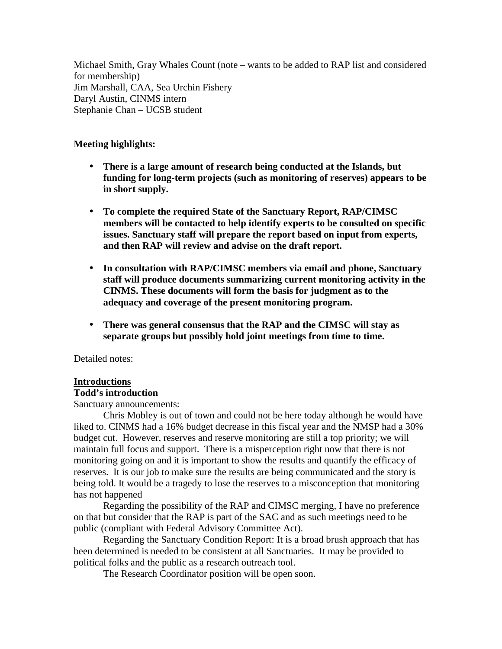Michael Smith, Gray Whales Count (note – wants to be added to RAP list and considered for membership) Jim Marshall, CAA, Sea Urchin Fishery Daryl Austin, CINMS intern Stephanie Chan – UCSB student

## **Meeting highlights:**

- **There is a large amount of research being conducted at the Islands, but funding for long-term projects (such as monitoring of reserves) appears to be in short supply.**
- **To complete the required State of the Sanctuary Report, RAP/CIMSC members will be contacted to help identify experts to be consulted on specific issues. Sanctuary staff will prepare the report based on input from experts, and then RAP will review and advise on the draft report.**
- **In consultation with RAP/CIMSC members via email and phone, Sanctuary staff will produce documents summarizing current monitoring activity in the CINMS. These documents will form the basis for judgment as to the adequacy and coverage of the present monitoring program.**
- **There was general consensus that the RAP and the CIMSC will stay as separate groups but possibly hold joint meetings from time to time.**

Detailed notes:

## **Introductions**

## **Todd's introduction**

Sanctuary announcements:

Chris Mobley is out of town and could not be here today although he would have liked to. CINMS had a 16% budget decrease in this fiscal year and the NMSP had a 30% budget cut. However, reserves and reserve monitoring are still a top priority; we will maintain full focus and support. There is a misperception right now that there is not monitoring going on and it is important to show the results and quantify the efficacy of reserves. It is our job to make sure the results are being communicated and the story is being told. It would be a tragedy to lose the reserves to a misconception that monitoring has not happened

Regarding the possibility of the RAP and CIMSC merging, I have no preference on that but consider that the RAP is part of the SAC and as such meetings need to be public (compliant with Federal Advisory Committee Act).

Regarding the Sanctuary Condition Report: It is a broad brush approach that has been determined is needed to be consistent at all Sanctuaries. It may be provided to political folks and the public as a research outreach tool.

The Research Coordinator position will be open soon.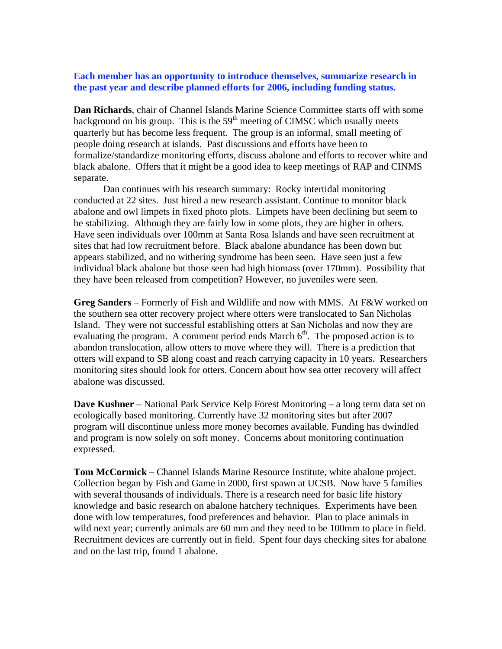#### **Each member has an opportunity to introduce themselves, summarize research in the past year and describe planned efforts for 2006, including funding status.**

 black abalone. Offers that it might be a good idea to keep meetings of RAP and CINMS **Dan Richards**, chair of Channel Islands Marine Science Committee starts off with some background on his group. This is the  $59<sup>th</sup>$  meeting of CIMSC which usually meets quarterly but has become less frequent. The group is an informal, small meeting of people doing research at islands. Past discussions and efforts have been to formalize/standardize monitoring efforts, discuss abalone and efforts to recover white and separate.

 Dan continues with his research summary: Rocky intertidal monitoring Have seen individuals over 100mm at Santa Rosa Islands and have seen recruitment at conducted at 22 sites. Just hired a new research assistant. Continue to monitor black abalone and owl limpets in fixed photo plots. Limpets have been declining but seem to be stabilizing. Although they are fairly low in some plots, they are higher in others. sites that had low recruitment before. Black abalone abundance has been down but appears stabilized, and no withering syndrome has been seen. Have seen just a few individual black abalone but those seen had high biomass (over 170mm). Possibility that they have been released from competition? However, no juveniles were seen.

**Greg Sanders** – Formerly of Fish and Wildlife and now with MMS. At F&W worked on the southern sea otter recovery project where otters were translocated to San Nicholas Island. They were not successful establishing otters at San Nicholas and now they are evaluating the program. A comment period ends March  $6<sup>th</sup>$ . The proposed action is to abandon translocation, allow otters to move where they will. There is a prediction that otters will expand to SB along coast and reach carrying capacity in 10 years. Researchers monitoring sites should look for otters. Concern about how sea otter recovery will affect abalone was discussed.

**Dave Kushner** – National Park Service Kelp Forest Monitoring – a long term data set on ecologically based monitoring. Currently have 32 monitoring sites but after 2007 program will discontinue unless more money becomes available. Funding has dwindled and program is now solely on soft money. Concerns about monitoring continuation expressed.

 wild next year; currently animals are 60 mm and they need to be 100mm to place in field. **Tom McCormick** – Channel Islands Marine Resource Institute, white abalone project. Collection began by Fish and Game in 2000, first spawn at UCSB. Now have 5 families with several thousands of individuals. There is a research need for basic life history knowledge and basic research on abalone hatchery techniques. Experiments have been done with low temperatures, food preferences and behavior. Plan to place animals in Recruitment devices are currently out in field. Spent four days checking sites for abalone and on the last trip, found 1 abalone.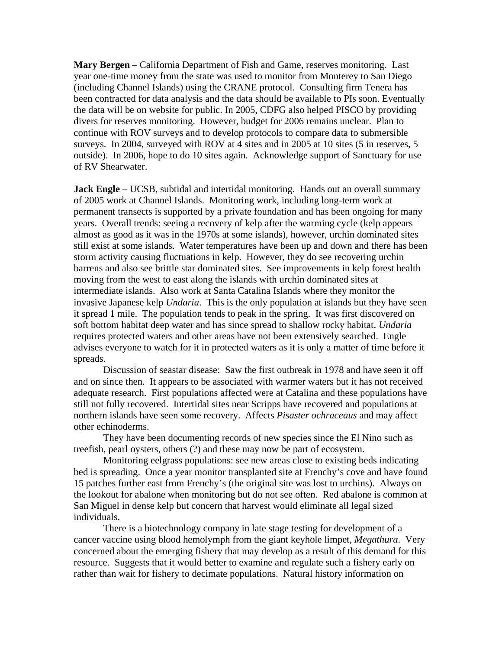**Mary Bergen** – California Department of Fish and Game, reserves monitoring. Last year one-time money from the state was used to monitor from Monterey to San Diego (including Channel Islands) using the CRANE protocol. Consulting firm Tenera has been contracted for data analysis and the data should be available to PIs soon. Eventually the data will be on website for public. In 2005, CDFG also helped PISCO by providing divers for reserves monitoring. However, budget for 2006 remains unclear. Plan to continue with ROV surveys and to develop protocols to compare data to submersible surveys. In 2004, surveyed with ROV at 4 sites and in 2005 at 10 sites (5 in reserves, 5 outside). In 2006, hope to do 10 sites again. Acknowledge support of Sanctuary for use of RV Shearwater.

 storm activity causing fluctuations in kelp. However, they do see recovering urchin **Jack Engle** – UCSB, subtidal and intertidal monitoring. Hands out an overall summary of 2005 work at Channel Islands. Monitoring work, including long-term work at permanent transects is supported by a private foundation and has been ongoing for many years. Overall trends: seeing a recovery of kelp after the warming cycle (kelp appears almost as good as it was in the 1970s at some islands), however, urchin dominated sites still exist at some islands. Water temperatures have been up and down and there has been barrens and also see brittle star dominated sites. See improvements in kelp forest health moving from the west to east along the islands with urchin dominated sites at intermediate islands. Also work at Santa Catalina Islands where they monitor the invasive Japanese kelp *Undaria*. This is the only population at islands but they have seen it spread 1 mile. The population tends to peak in the spring. It was first discovered on soft bottom habitat deep water and has since spread to shallow rocky habitat. *Undaria*  requires protected waters and other areas have not been extensively searched. Engle advises everyone to watch for it in protected waters as it is only a matter of time before it spreads.

 northern islands have seen some recovery. Affects *Pisaster ochraceaus* and may affect Discussion of seastar disease: Saw the first outbreak in 1978 and have seen it off and on since then. It appears to be associated with warmer waters but it has not received adequate research. First populations affected were at Catalina and these populations have still not fully recovered. Intertidal sites near Scripps have recovered and populations at other echinoderms.

They have been documenting records of new species since the El Nino such as treefish, pearl oysters, others (?) and these may now be part of ecosystem.

 bed is spreading. Once a year monitor transplanted site at Frenchy's cove and have found Monitoring eelgrass populations: see new areas close to existing beds indicating 15 patches further east from Frenchy's (the original site was lost to urchins). Always on the lookout for abalone when monitoring but do not see often. Red abalone is common at San Miguel in dense kelp but concern that harvest would eliminate all legal sized individuals.

There is a biotechnology company in late stage testing for development of a cancer vaccine using blood hemolymph from the giant keyhole limpet, *Megathura*. Very concerned about the emerging fishery that may develop as a result of this demand for this resource. Suggests that it would better to examine and regulate such a fishery early on rather than wait for fishery to decimate populations. Natural history information on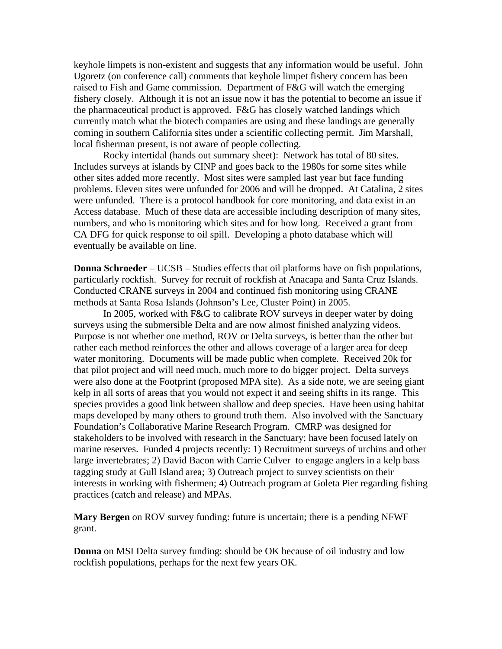raised to Fish and Game commission. Department of F&G will watch the emerging fishery closely. Although it is not an issue now it has the potential to become an issue if keyhole limpets is non-existent and suggests that any information would be useful. John Ugoretz (on conference call) comments that keyhole limpet fishery concern has been the pharmaceutical product is approved. F&G has closely watched landings which currently match what the biotech companies are using and these landings are generally coming in southern California sites under a scientific collecting permit. Jim Marshall, local fisherman present, is not aware of people collecting.

 eventually be available on line. Rocky intertidal (hands out summary sheet): Network has total of 80 sites. Includes surveys at islands by CINP and goes back to the 1980s for some sites while other sites added more recently. Most sites were sampled last year but face funding problems. Eleven sites were unfunded for 2006 and will be dropped. At Catalina, 2 sites were unfunded. There is a protocol handbook for core monitoring, and data exist in an Access database. Much of these data are accessible including description of many sites, numbers, and who is monitoring which sites and for how long. Received a grant from CA DFG for quick response to oil spill. Developing a photo database which will

**Donna Schroeder** – UCSB – Studies effects that oil platforms have on fish populations, particularly rockfish. Survey for recruit of rockfish at Anacapa and Santa Cruz Islands. Conducted CRANE surveys in 2004 and continued fish monitoring using CRANE methods at Santa Rosa Islands (Johnson's Lee, Cluster Point) in 2005.

In 2005, worked with F&G to calibrate ROV surveys in deeper water by doing surveys using the submersible Delta and are now almost finished analyzing videos. Purpose is not whether one method, ROV or Delta surveys, is better than the other but rather each method reinforces the other and allows coverage of a larger area for deep water monitoring. Documents will be made public when complete. Received 20k for that pilot project and will need much, much more to do bigger project. Delta surveys were also done at the Footprint (proposed MPA site). As a side note, we are seeing giant kelp in all sorts of areas that you would not expect it and seeing shifts in its range. This species provides a good link between shallow and deep species. Have been using habitat maps developed by many others to ground truth them. Also involved with the Sanctuary Foundation's Collaborative Marine Research Program. CMRP was designed for stakeholders to be involved with research in the Sanctuary; have been focused lately on marine reserves. Funded 4 projects recently: 1) Recruitment surveys of urchins and other large invertebrates; 2) David Bacon with Carrie Culver to engage anglers in a kelp bass tagging study at Gull Island area; 3) Outreach project to survey scientists on their interests in working with fishermen; 4) Outreach program at Goleta Pier regarding fishing practices (catch and release) and MPAs.

**Mary Bergen** on ROV survey funding: future is uncertain; there is a pending NFWF grant.

**Donna** on MSI Delta survey funding: should be OK because of oil industry and low rockfish populations, perhaps for the next few years OK.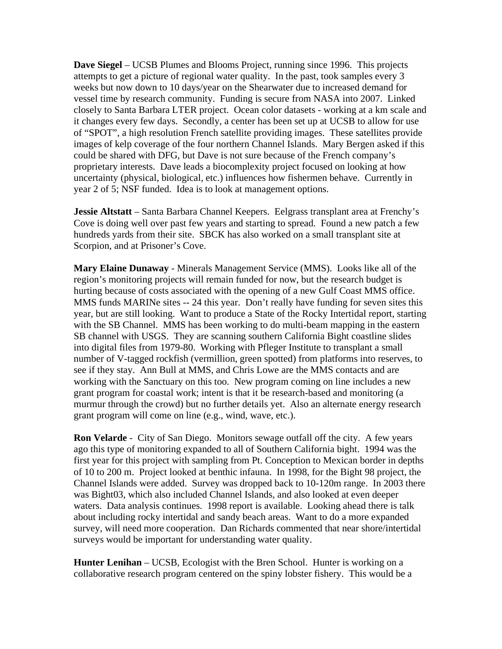**Dave Siegel** – UCSB Plumes and Blooms Project, running since 1996. This projects attempts to get a picture of regional water quality. In the past, took samples every 3 weeks but now down to 10 days/year on the Shearwater due to increased demand for vessel time by research community. Funding is secure from NASA into 2007. Linked closely to Santa Barbara LTER project. Ocean color datasets - working at a km scale and it changes every few days. Secondly, a center has been set up at UCSB to allow for use of "SPOT", a high resolution French satellite providing images. These satellites provide images of kelp coverage of the four northern Channel Islands. Mary Bergen asked if this could be shared with DFG, but Dave is not sure because of the French company's proprietary interests. Dave leads a biocomplexity project focused on looking at how uncertainty (physical, biological, etc.) influences how fishermen behave. Currently in year 2 of 5; NSF funded. Idea is to look at management options.

 Cove is doing well over past few years and starting to spread. Found a new patch a few **Jessie Altstatt** – Santa Barbara Channel Keepers. Eelgrass transplant area at Frenchy's hundreds yards from their site. SBCK has also worked on a small transplant site at Scorpion, and at Prisoner's Cove.

**Mary Elaine Dunaway** - Minerals Management Service (MMS). Looks like all of the region's monitoring projects will remain funded for now, but the research budget is hurting because of costs associated with the opening of a new Gulf Coast MMS office. MMS funds MARINe sites -- 24 this year. Don't really have funding for seven sites this year, but are still looking. Want to produce a State of the Rocky Intertidal report, starting with the SB Channel. MMS has been working to do multi-beam mapping in the eastern SB channel with USGS. They are scanning southern California Bight coastline slides into digital files from 1979-80. Working with Pfleger Institute to transplant a small number of V-tagged rockfish (vermillion, green spotted) from platforms into reserves, to see if they stay. Ann Bull at MMS, and Chris Lowe are the MMS contacts and are working with the Sanctuary on this too. New program coming on line includes a new grant program for coastal work; intent is that it be research-based and monitoring (a murmur through the crowd) but no further details yet. Also an alternate energy research grant program will come on line (e.g., wind, wave, etc.).

**Ron Velarde** - City of San Diego. Monitors sewage outfall off the city. A few years ago this type of monitoring expanded to all of Southern California bight. 1994 was the first year for this project with sampling from Pt. Conception to Mexican border in depths of 10 to 200 m. Project looked at benthic infauna. In 1998, for the Bight 98 project, the Channel Islands were added. Survey was dropped back to 10-120m range. In 2003 there was Bight03, which also included Channel Islands, and also looked at even deeper waters. Data analysis continues. 1998 report is available. Looking ahead there is talk about including rocky intertidal and sandy beach areas. Want to do a more expanded survey, will need more cooperation. Dan Richards commented that near shore/intertidal surveys would be important for understanding water quality.

**Hunter Lenihan** – UCSB, Ecologist with the Bren School. Hunter is working on a collaborative research program centered on the spiny lobster fishery. This would be a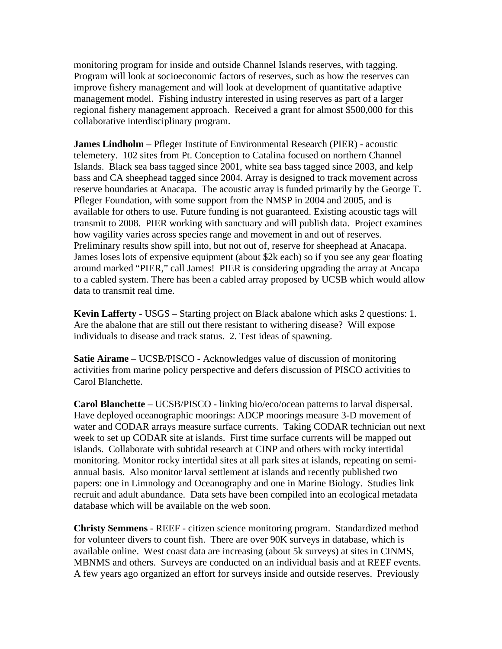monitoring program for inside and outside Channel Islands reserves, with tagging. Program will look at socioeconomic factors of reserves, such as how the reserves can improve fishery management and will look at development of quantitative adaptive management model. Fishing industry interested in using reserves as part of a larger regional fishery management approach. Received a grant for almost \$500,000 for this collaborative interdisciplinary program.

**James Lindholm** – Pfleger Institute of Environmental Research (PIER) - acoustic telemetery. 102 sites from Pt. Conception to Catalina focused on northern Channel Islands. Black sea bass tagged since 2001, white sea bass tagged since 2003, and kelp bass and CA sheephead tagged since 2004. Array is designed to track movement across reserve boundaries at Anacapa. The acoustic array is funded primarily by the George T. Pfleger Foundation, with some support from the NMSP in 2004 and 2005, and is available for others to use. Future funding is not guaranteed. Existing acoustic tags will transmit to 2008. PIER working with sanctuary and will publish data. Project examines how vagility varies across species range and movement in and out of reserves. Preliminary results show spill into, but not out of, reserve for sheephead at Anacapa. James loses lots of expensive equipment (about \$2k each) so if you see any gear floating around marked "PIER," call James! PIER is considering upgrading the array at Ancapa to a cabled system. There has been a cabled array proposed by UCSB which would allow data to transmit real time.

 Are the abalone that are still out there resistant to withering disease? Will expose **Kevin Lafferty** - USGS – Starting project on Black abalone which asks 2 questions: 1. individuals to disease and track status. 2. Test ideas of spawning.

**Satie Airame** – UCSB/PISCO - Acknowledges value of discussion of monitoring activities from marine policy perspective and defers discussion of PISCO activities to Carol Blanchette.

**Carol Blanchette** – UCSB/PISCO - linking bio/eco/ocean patterns to larval dispersal. Have deployed oceanographic moorings: ADCP moorings measure 3-D movement of water and CODAR arrays measure surface currents. Taking CODAR technician out next week to set up CODAR site at islands. First time surface currents will be mapped out islands. Collaborate with subtidal research at CINP and others with rocky intertidal monitoring. Monitor rocky intertidal sites at all park sites at islands, repeating on semiannual basis. Also monitor larval settlement at islands and recently published two papers: one in Limnology and Oceanography and one in Marine Biology. Studies link recruit and adult abundance. Data sets have been compiled into an ecological metadata database which will be available on the web soon.

 available online. West coast data are increasing (about 5k surveys) at sites in CINMS, **Christy Semmens** - REEF - citizen science monitoring program. Standardized method for volunteer divers to count fish. There are over 90K surveys in database, which is MBNMS and others. Surveys are conducted on an individual basis and at REEF events. A few years ago organized an effort for surveys inside and outside reserves. Previously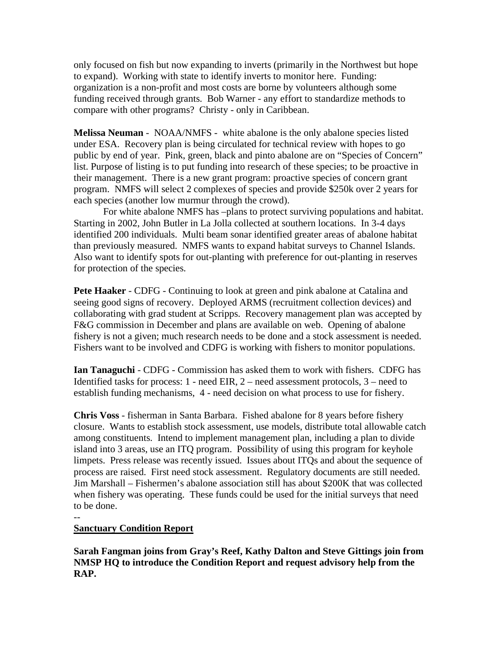to expand). Working with state to identify inverts to monitor here. Funding: only focused on fish but now expanding to inverts (primarily in the Northwest but hope organization is a non-profit and most costs are borne by volunteers although some funding received through grants. Bob Warner - any effort to standardize methods to compare with other programs? Christy - only in Caribbean.

 **Melissa Neuman** - NOAA/NMFS - white abalone is the only abalone species listed under ESA. Recovery plan is being circulated for technical review with hopes to go public by end of year. Pink, green, black and pinto abalone are on "Species of Concern" list. Purpose of listing is to put funding into research of these species; to be proactive in their management. There is a new grant program: proactive species of concern grant program. NMFS will select 2 complexes of species and provide \$250k over 2 years for each species (another low murmur through the crowd).

For white abalone NMFS has –plans to protect surviving populations and habitat. Starting in 2002, John Butler in La Jolla collected at southern locations. In 3-4 days identified 200 individuals. Multi beam sonar identified greater areas of abalone habitat than previously measured. NMFS wants to expand habitat surveys to Channel Islands. Also want to identify spots for out-planting with preference for out-planting in reserves for protection of the species.

**Pete Haaker** - CDFG - Continuing to look at green and pink abalone at Catalina and seeing good signs of recovery. Deployed ARMS (recruitment collection devices) and collaborating with grad student at Scripps. Recovery management plan was accepted by F&G commission in December and plans are available on web. Opening of abalone fishery is not a given; much research needs to be done and a stock assessment is needed. Fishers want to be involved and CDFG is working with fishers to monitor populations.

 establish funding mechanisms, 4 - need decision on what process to use for fishery. **Ian Tanaguchi** - CDFG - Commission has asked them to work with fishers. CDFG has Identified tasks for process:  $1$  - need EIR,  $2$  – need assessment protocols,  $3$  – need to

**Chris Voss** - fisherman in Santa Barbara. Fished abalone for 8 years before fishery closure. Wants to establish stock assessment, use models, distribute total allowable catch among constituents. Intend to implement management plan, including a plan to divide island into 3 areas, use an ITQ program. Possibility of using this program for keyhole limpets. Press release was recently issued. Issues about ITQs and about the sequence of process are raised. First need stock assessment. Regulatory documents are still needed. Jim Marshall – Fishermen's abalone association still has about \$200K that was collected when fishery was operating. These funds could be used for the initial surveys that need to be done.

--

## **Sanctuary Condition Report**

**Sarah Fangman joins from Gray's Reef, Kathy Dalton and Steve Gittings join from NMSP HQ to introduce the Condition Report and request advisory help from the RAP.**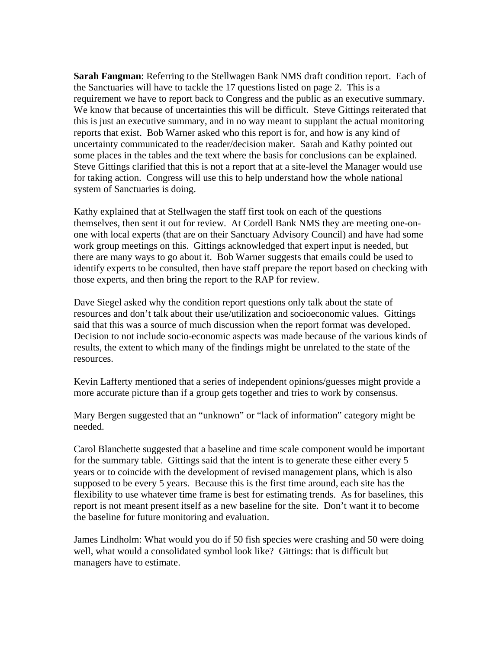this is just an executive summary, and in no way meant to supplant the actual monitoring **Sarah Fangman**: Referring to the Stellwagen Bank NMS draft condition report. Each of the Sanctuaries will have to tackle the 17 questions listed on page 2. This is a requirement we have to report back to Congress and the public as an executive summary. We know that because of uncertainties this will be difficult. Steve Gittings reiterated that reports that exist. Bob Warner asked who this report is for, and how is any kind of uncertainty communicated to the reader/decision maker. Sarah and Kathy pointed out some places in the tables and the text where the basis for conclusions can be explained. Steve Gittings clarified that this is not a report that at a site-level the Manager would use for taking action. Congress will use this to help understand how the whole national system of Sanctuaries is doing.

Kathy explained that at Stellwagen the staff first took on each of the questions themselves, then sent it out for review. At Cordell Bank NMS they are meeting one-onone with local experts (that are on their Sanctuary Advisory Council) and have had some work group meetings on this. Gittings acknowledged that expert input is needed, but there are many ways to go about it. Bob Warner suggests that emails could be used to identify experts to be consulted, then have staff prepare the report based on checking with those experts, and then bring the report to the RAP for review.

Dave Siegel asked why the condition report questions only talk about the state of resources and don't talk about their use/utilization and socioeconomic values. Gittings said that this was a source of much discussion when the report format was developed. Decision to not include socio-economic aspects was made because of the various kinds of results, the extent to which many of the findings might be unrelated to the state of the resources.

Kevin Lafferty mentioned that a series of independent opinions/guesses might provide a more accurate picture than if a group gets together and tries to work by consensus.

 Mary Bergen suggested that an "unknown" or "lack of information" category might be needed.

 report is not meant present itself as a new baseline for the site. Don't want it to become Carol Blanchette suggested that a baseline and time scale component would be important for the summary table. Gittings said that the intent is to generate these either every 5 years or to coincide with the development of revised management plans, which is also supposed to be every 5 years. Because this is the first time around, each site has the flexibility to use whatever time frame is best for estimating trends. As for baselines, this the baseline for future monitoring and evaluation.

 well, what would a consolidated symbol look like? Gittings: that is difficult but James Lindholm: What would you do if 50 fish species were crashing and 50 were doing managers have to estimate.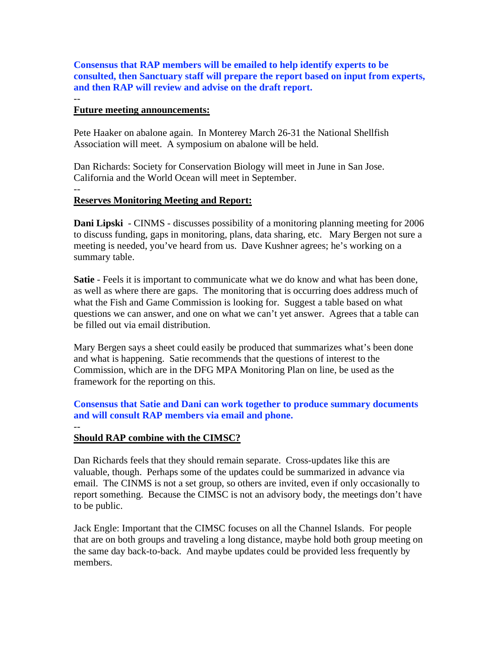**Consensus that RAP members will be emailed to help identify experts to be consulted, then Sanctuary staff will prepare the report based on input from experts, and then RAP will review and advise on the draft report.** 

#### -- **Future meeting announcements:**

Pete Haaker on abalone again. In Monterey March 26-31 the National Shellfish Association will meet. A symposium on abalone will be held.

Dan Richards: Society for Conservation Biology will meet in June in San Jose. California and the World Ocean will meet in September.

# --

## **Reserves Monitoring Meeting and Report:**

**Dani Lipski** - CINMS - discusses possibility of a monitoring planning meeting for 2006 to discuss funding, gaps in monitoring, plans, data sharing, etc. Mary Bergen not sure a meeting is needed, you've heard from us. Dave Kushner agrees; he's working on a summary table.

 questions we can answer, and one on what we can't yet answer. Agrees that a table can **Satie** - Feels it is important to communicate what we do know and what has been done, as well as where there are gaps. The monitoring that is occurring does address much of what the Fish and Game Commission is looking for. Suggest a table based on what be filled out via email distribution.

Mary Bergen says a sheet could easily be produced that summarizes what's been done and what is happening. Satie recommends that the questions of interest to the Commission, which are in the DFG MPA Monitoring Plan on line, be used as the framework for the reporting on this.

**Consensus that Satie and Dani can work together to produce summary documents and will consult RAP members via email and phone.** 

#### -- **Should RAP combine with the CIMSC?**

 report something. Because the CIMSC is not an advisory body, the meetings don't have Dan Richards feels that they should remain separate. Cross-updates like this are valuable, though. Perhaps some of the updates could be summarized in advance via email. The CINMS is not a set group, so others are invited, even if only occasionally to to be public.

Jack Engle: Important that the CIMSC focuses on all the Channel Islands. For people that are on both groups and traveling a long distance, maybe hold both group meeting on the same day back-to-back. And maybe updates could be provided less frequently by members.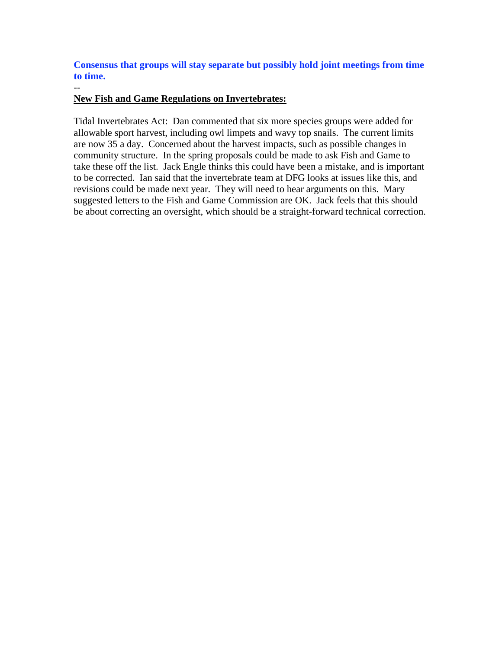**Consensus that groups will stay separate but possibly hold joint meetings from time to time.** 

## **New Fish and Game Regulations on Invertebrates:**

 $-$ 

 allowable sport harvest, including owl limpets and wavy top snails. The current limits Tidal Invertebrates Act: Dan commented that six more species groups were added for are now 35 a day. Concerned about the harvest impacts, such as possible changes in community structure. In the spring proposals could be made to ask Fish and Game to take these off the list. Jack Engle thinks this could have been a mistake, and is important to be corrected. Ian said that the invertebrate team at DFG looks at issues like this, and revisions could be made next year. They will need to hear arguments on this. Mary suggested letters to the Fish and Game Commission are OK. Jack feels that this should be about correcting an oversight, which should be a straight-forward technical correction.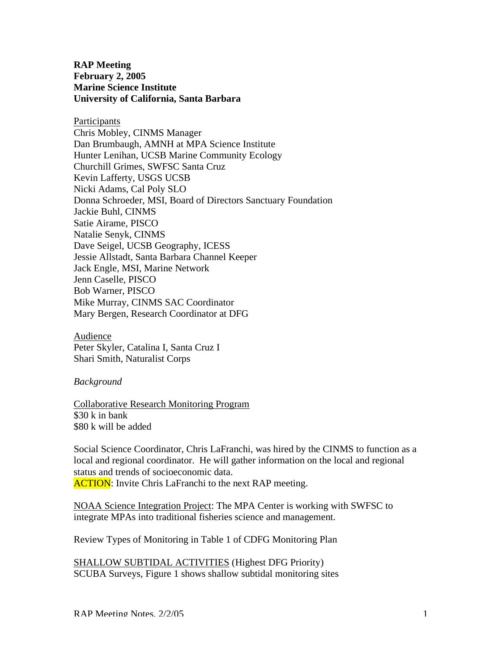**RAP Meeting February 2, 2005 Marine Science Institute University of California, Santa Barbara** 

**Participants** Chris Mobley, CINMS Manager Dan Brumbaugh, AMNH at MPA Science Institute Hunter Lenihan, UCSB Marine Community Ecology Churchill Grimes, SWFSC Santa Cruz Kevin Lafferty, USGS UCSB Nicki Adams, Cal Poly SLO Donna Schroeder, MSI, Board of Directors Sanctuary Foundation Jackie Buhl, CINMS Satie Airame, PISCO Natalie Senyk, CINMS Dave Seigel, UCSB Geography, ICESS Jessie Allstadt, Santa Barbara Channel Keeper Jack Engle, MSI, Marine Network Jenn Caselle, PISCO Bob Warner, PISCO Mike Murray, CINMS SAC Coordinator Mary Bergen, Research Coordinator at DFG

Audience Peter Skyler, Catalina I, Santa Cruz I Shari Smith, Naturalist Corps

#### *Background*

Collaborative Research Monitoring Program \$30 k in bank \$80 k will be added

 local and regional coordinator. He will gather information on the local and regional Social Science Coordinator, Chris LaFranchi, was hired by the CINMS to function as a status and trends of socioeconomic data. **ACTION:** Invite Chris LaFranchi to the next RAP meeting.

 NOAA Science Integration Project: The MPA Center is working with SWFSC to integrate MPAs into traditional fisheries science and management.

Review Types of Monitoring in Table 1 of CDFG Monitoring Plan

SHALLOW SUBTIDAL ACTIVITIES (Highest DFG Priority) SCUBA Surveys, Figure 1 shows shallow subtidal monitoring sites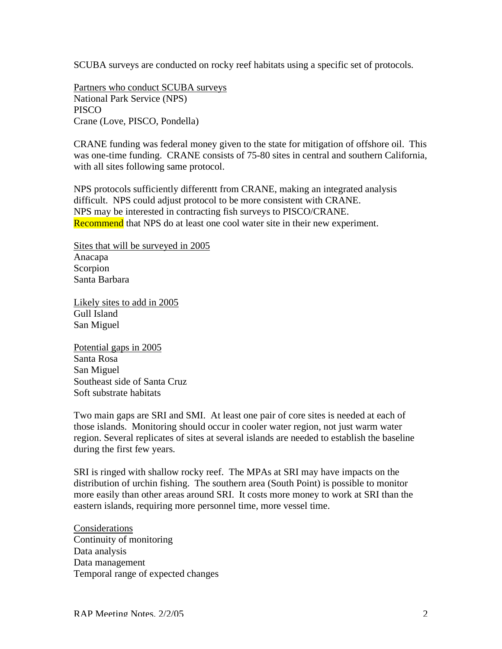SCUBA surveys are conducted on rocky reef habitats using a specific set of protocols.

Partners who conduct SCUBA surveys National Park Service (NPS) **PISCO** Crane (Love, PISCO, Pondella)

CRANE funding was federal money given to the state for mitigation of offshore oil. This was one-time funding. CRANE consists of 75-80 sites in central and southern California, with all sites following same protocol.

NPS protocols sufficiently differentt from CRANE, making an integrated analysis difficult. NPS could adjust protocol to be more consistent with CRANE. NPS may be interested in contracting fish surveys to PISCO/CRANE. **Recommend** that NPS do at least one cool water site in their new experiment.

Sites that will be surveyed in 2005 Anacapa Scorpion Santa Barbara

Likely sites to add in 2005 Gull Island San Miguel

Potential gaps in 2005 Santa Rosa San Miguel Southeast side of Santa Cruz Soft substrate habitats

Two main gaps are SRI and SMI. At least one pair of core sites is needed at each of those islands. Monitoring should occur in cooler water region, not just warm water region. Several replicates of sites at several islands are needed to establish the baseline during the first few years.

SRI is ringed with shallow rocky reef. The MPAs at SRI may have impacts on the distribution of urchin fishing. The southern area (South Point) is possible to monitor more easily than other areas around SRI. It costs more money to work at SRI than the eastern islands, requiring more personnel time, more vessel time.

Considerations Continuity of monitoring Data analysis Data management Temporal range of expected changes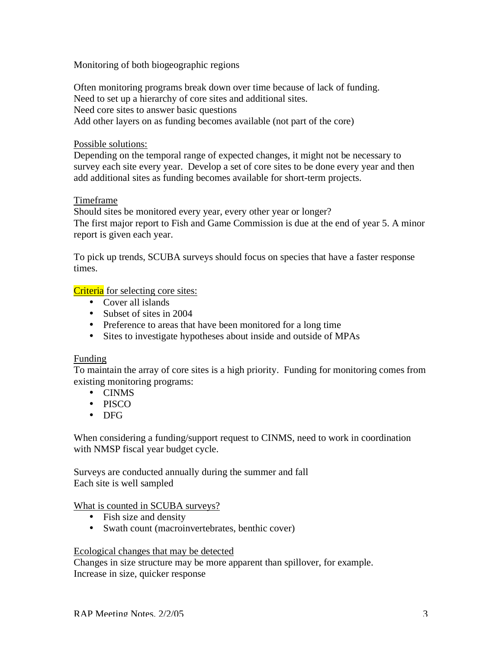Monitoring of both biogeographic regions

Often monitoring programs break down over time because of lack of funding. Need to set up a hierarchy of core sites and additional sites. Need core sites to answer basic questions Add other layers on as funding becomes available (not part of the core)

## Possible solutions:

Depending on the temporal range of expected changes, it might not be necessary to survey each site every year. Develop a set of core sites to be done every year and then add additional sites as funding becomes available for short-term projects.

## Timeframe

Should sites be monitored every year, every other year or longer? The first major report to Fish and Game Commission is due at the end of year 5. A minor report is given each year.

To pick up trends, SCUBA surveys should focus on species that have a faster response times.

## Criteria for selecting core sites:

- Cover all islands
- Subset of sites in 2004
- Preference to areas that have been monitored for a long time
- Sites to investigate hypotheses about inside and outside of MPAs

## Funding

 To maintain the array of core sites is a high priority. Funding for monitoring comes from existing monitoring programs:

- CINMS
- PISCO
- DFG

When considering a funding/support request to CINMS, need to work in coordination with NMSP fiscal year budget cycle.

Surveys are conducted annually during the summer and fall Each site is well sampled

## What is counted in SCUBA surveys?

- Fish size and density
- Swath count (macroinvertebrates, benthic cover)

## Ecological changes that may be detected

Changes in size structure may be more apparent than spillover, for example. Increase in size, quicker response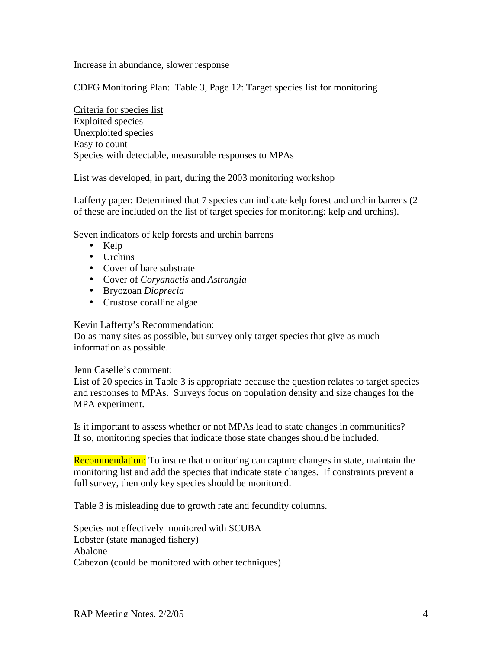Increase in abundance, slower response

CDFG Monitoring Plan: Table 3, Page 12: Target species list for monitoring

Criteria for species list Exploited species Unexploited species Easy to count Species with detectable, measurable responses to MPAs

List was developed, in part, during the 2003 monitoring workshop

Lafferty paper: Determined that 7 species can indicate kelp forest and urchin barrens (2 of these are included on the list of target species for monitoring: kelp and urchins).

Seven indicators of kelp forests and urchin barrens

- Kelp
- Urchins
- Cover of bare substrate
- Cover of *Coryanactis* and *Astrangia*
- Bryozoan *Dioprecia*
- Crustose coralline algae

Kevin Lafferty's Recommendation:

Do as many sites as possible, but survey only target species that give as much information as possible.

Jenn Caselle's comment:

List of 20 species in Table 3 is appropriate because the question relates to target species and responses to MPAs. Surveys focus on population density and size changes for the MPA experiment.

Is it important to assess whether or not MPAs lead to state changes in communities? If so, monitoring species that indicate those state changes should be included.

Recommendation: To insure that monitoring can capture changes in state, maintain the monitoring list and add the species that indicate state changes. If constraints prevent a full survey, then only key species should be monitored.

Table 3 is misleading due to growth rate and fecundity columns.

Species not effectively monitored with SCUBA Lobster (state managed fishery) Abalone Cabezon (could be monitored with other techniques)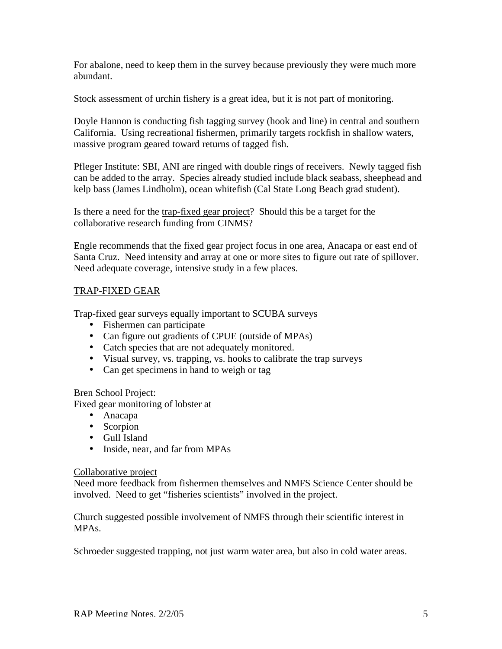For abalone, need to keep them in the survey because previously they were much more abundant.

Stock assessment of urchin fishery is a great idea, but it is not part of monitoring.

Doyle Hannon is conducting fish tagging survey (hook and line) in central and southern California. Using recreational fishermen, primarily targets rockfish in shallow waters, massive program geared toward returns of tagged fish.

Pfleger Institute: SBI, ANI are ringed with double rings of receivers. Newly tagged fish can be added to the array. Species already studied include black seabass, sheephead and kelp bass (James Lindholm), ocean whitefish (Cal State Long Beach grad student).

Is there a need for the trap-fixed gear project? Should this be a target for the collaborative research funding from CINMS?

Engle recommends that the fixed gear project focus in one area, Anacapa or east end of Santa Cruz. Need intensity and array at one or more sites to figure out rate of spillover. Need adequate coverage, intensive study in a few places.

## TRAP-FIXED GEAR

Trap-fixed gear surveys equally important to SCUBA surveys

- Fishermen can participate
- Can figure out gradients of CPUE (outside of MPAs)
- Catch species that are not adequately monitored.
- Visual survey, vs. trapping, vs. hooks to calibrate the trap surveys
- Can get specimens in hand to weigh or tag

## Bren School Project:

Fixed gear monitoring of lobster at

- Anacapa
- Scorpion
- Gull Island
- Inside, near, and far from MPAs

## Collaborative project

Need more feedback from fishermen themselves and NMFS Science Center should be involved. Need to get "fisheries scientists" involved in the project.

Church suggested possible involvement of NMFS through their scientific interest in MPAs.

Schroeder suggested trapping, not just warm water area, but also in cold water areas.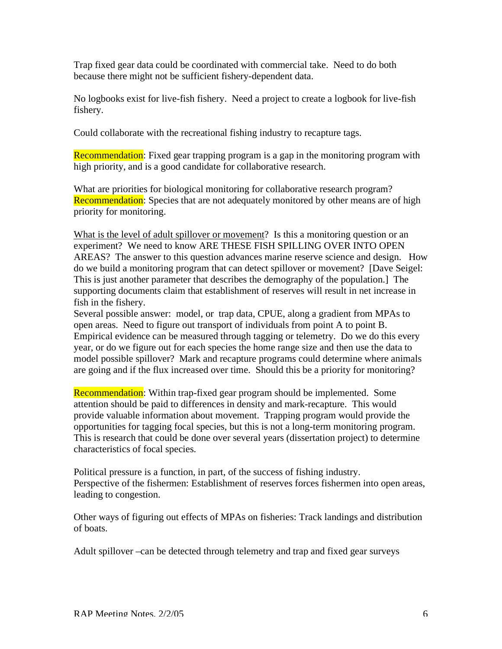Trap fixed gear data could be coordinated with commercial take. Need to do both because there might not be sufficient fishery-dependent data.

No logbooks exist for live-fish fishery. Need a project to create a logbook for live-fish fishery.

Could collaborate with the recreational fishing industry to recapture tags.

Recommendation: Fixed gear trapping program is a gap in the monitoring program with high priority, and is a good candidate for collaborative research.

What are priorities for biological monitoring for collaborative research program? Recommendation: Species that are not adequately monitored by other means are of high priority for monitoring.

 experiment? We need to know ARE THESE FISH SPILLING OVER INTO OPEN What is the level of adult spillover or movement? Is this a monitoring question or an AREAS? The answer to this question advances marine reserve science and design. How do we build a monitoring program that can detect spillover or movement? [Dave Seigel: This is just another parameter that describes the demography of the population.] The supporting documents claim that establishment of reserves will result in net increase in fish in the fishery.

 Several possible answer: model, or trap data, CPUE, along a gradient from MPAs to Empirical evidence can be measured through tagging or telemetry. Do we do this every model possible spillover? Mark and recapture programs could determine where animals open areas. Need to figure out transport of individuals from point A to point B. year, or do we figure out for each species the home range size and then use the data to

are going and if the flux increased over time. Should this be a priority for monitoring?<br>Recommendation: Within trap-fixed gear program should be implemented. Some attention should be paid to differences in density and mark-recapture. This would provide valuable information about movement. Trapping program would provide the opportunities for tagging focal species, but this is not a long-term monitoring program. This is research that could be done over several years (dissertation project) to determine characteristics of focal species.

Political pressure is a function, in part, of the success of fishing industry. Perspective of the fishermen: Establishment of reserves forces fishermen into open areas, leading to congestion.

Other ways of figuring out effects of MPAs on fisheries: Track landings and distribution of boats.

Adult spillover –can be detected through telemetry and trap and fixed gear surveys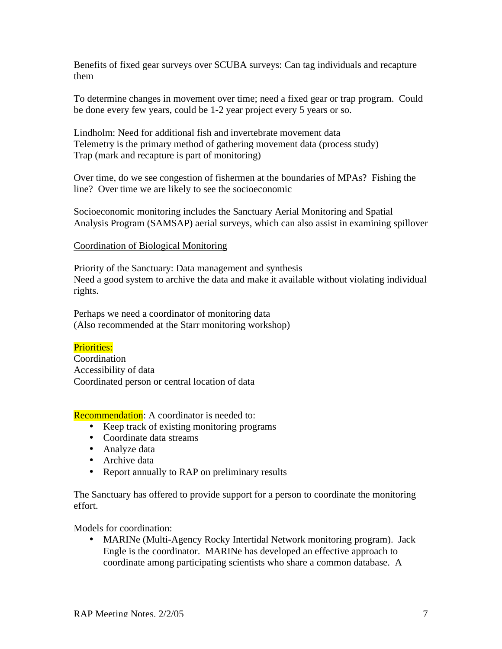Benefits of fixed gear surveys over SCUBA surveys: Can tag individuals and recapture them

To determine changes in movement over time; need a fixed gear or trap program. Could be done every few years, could be 1-2 year project every 5 years or so.

Lindholm: Need for additional fish and invertebrate movement data Telemetry is the primary method of gathering movement data (process study) Trap (mark and recapture is part of monitoring)

Over time, do we see congestion of fishermen at the boundaries of MPAs? Fishing the line? Over time we are likely to see the socioeconomic

Socioeconomic monitoring includes the Sanctuary Aerial Monitoring and Spatial Analysis Program (SAMSAP) aerial surveys, which can also assist in examining spillover

## Coordination of Biological Monitoring

Priority of the Sanctuary: Data management and synthesis Need a good system to archive the data and make it available without violating individual rights.

Perhaps we need a coordinator of monitoring data (Also recommended at the Starr monitoring workshop)

## Priorities:

Coordination Accessibility of data Coordinated person or central location of data

## **Recommendation:** A coordinator is needed to:

- Keep track of existing monitoring programs
- Coordinate data streams
- Analyze data
- Archive data
- Report annually to RAP on preliminary results

The Sanctuary has offered to provide support for a person to coordinate the monitoring effort.

Models for coordination:

• MARINe (Multi-Agency Rocky Intertidal Network monitoring program). Jack Engle is the coordinator. MARINe has developed an effective approach to coordinate among participating scientists who share a common database. A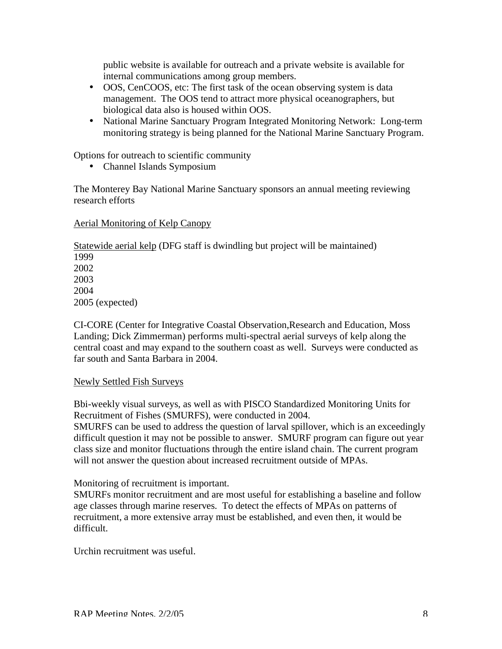public website is available for outreach and a private website is available for internal communications among group members.

- OOS, CenCOOS, etc: The first task of the ocean observing system is data management. The OOS tend to attract more physical oceanographers, but biological data also is housed within OOS.
- National Marine Sanctuary Program Integrated Monitoring Network: Long-term monitoring strategy is being planned for the National Marine Sanctuary Program.

Options for outreach to scientific community

• Channel Islands Symposium

The Monterey Bay National Marine Sanctuary sponsors an annual meeting reviewing research efforts

## Aerial Monitoring of Kelp Canopy

Statewide aerial kelp (DFG staff is dwindling but project will be maintained)

1999 2002 2003 2004 2005 (expected)

CI-CORE (Center for Integrative Coastal Observation,Research and Education, Moss Landing; Dick Zimmerman) performs multi-spectral aerial surveys of kelp along the central coast and may expand to the southern coast as well. Surveys were conducted as far south and Santa Barbara in 2004.

## Newly Settled Fish Surveys

 Bbi-weekly visual surveys, as well as with PISCO Standardized Monitoring Units for Recruitment of Fishes (SMURFS), were conducted in 2004.

SMURFS can be used to address the question of larval spillover, which is an exceedingly difficult question it may not be possible to answer. SMURF program can figure out year class size and monitor fluctuations through the entire island chain. The current program will not answer the question about increased recruitment outside of MPAs.

Monitoring of recruitment is important.

SMURFs monitor recruitment and are most useful for establishing a baseline and follow age classes through marine reserves. To detect the effects of MPAs on patterns of recruitment, a more extensive array must be established, and even then, it would be difficult.

Urchin recruitment was useful.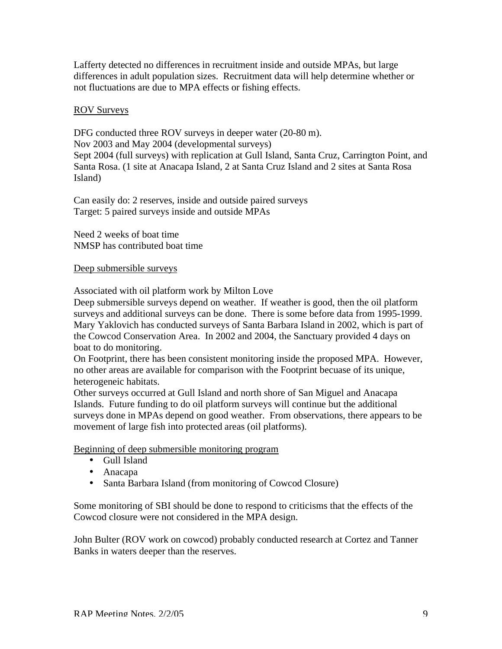Lafferty detected no differences in recruitment inside and outside MPAs, but large differences in adult population sizes. Recruitment data will help determine whether or not fluctuations are due to MPA effects or fishing effects.

## ROV Surveys

DFG conducted three ROV surveys in deeper water (20-80 m). Nov 2003 and May 2004 (developmental surveys) Sept 2004 (full surveys) with replication at Gull Island, Santa Cruz, Carrington Point, and Santa Rosa. (1 site at Anacapa Island, 2 at Santa Cruz Island and 2 sites at Santa Rosa Island)

Can easily do: 2 reserves, inside and outside paired surveys Target: 5 paired surveys inside and outside MPAs

Need 2 weeks of boat time NMSP has contributed boat time

## Deep submersible surveys

Associated with oil platform work by Milton Love

Deep submersible surveys depend on weather. If weather is good, then the oil platform surveys and additional surveys can be done. There is some before data from 1995-1999. Mary Yaklovich has conducted surveys of Santa Barbara Island in 2002, which is part of the Cowcod Conservation Area. In 2002 and 2004, the Sanctuary provided 4 days on boat to do monitoring.

On Footprint, there has been consistent monitoring inside the proposed MPA. However, no other areas are available for comparison with the Footprint becuase of its unique, heterogeneic habitats.

Other surveys occurred at Gull Island and north shore of San Miguel and Anacapa Islands. Future funding to do oil platform surveys will continue but the additional surveys done in MPAs depend on good weather. From observations, there appears to be movement of large fish into protected areas (oil platforms).

Beginning of deep submersible monitoring program

- Gull Island
- Anacapa
- Santa Barbara Island (from monitoring of Cowcod Closure)

Some monitoring of SBI should be done to respond to criticisms that the effects of the Cowcod closure were not considered in the MPA design.

John Bulter (ROV work on cowcod) probably conducted research at Cortez and Tanner Banks in waters deeper than the reserves.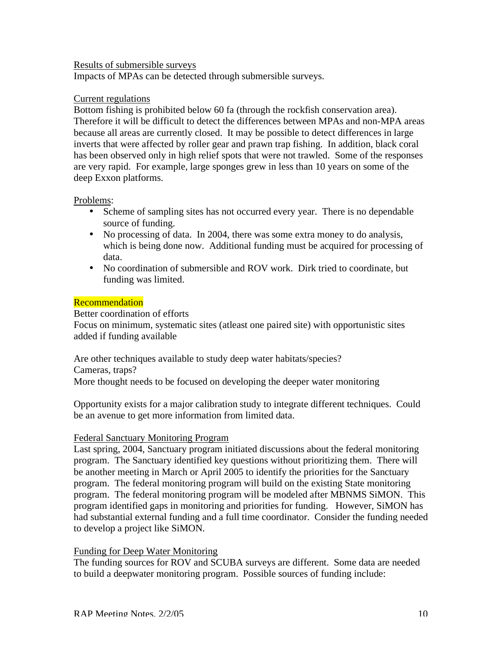## Results of submersible surveys

Impacts of MPAs can be detected through submersible surveys.

#### Current regulations

 Therefore it will be difficult to detect the differences between MPAs and non-MPA areas Bottom fishing is prohibited below 60 fa (through the rockfish conservation area). because all areas are currently closed. It may be possible to detect differences in large inverts that were affected by roller gear and prawn trap fishing. In addition, black coral has been observed only in high relief spots that were not trawled. Some of the responses are very rapid. For example, large sponges grew in less than 10 years on some of the deep Exxon platforms.

#### Problems:

- Scheme of sampling sites has not occurred every year. There is no dependable source of funding.
- No processing of data. In 2004, there was some extra money to do analysis, which is being done now. Additional funding must be acquired for processing of data.
- No coordination of submersible and ROV work. Dirk tried to coordinate, but funding was limited.

#### **Recommendation**

Better coordination of efforts Focus on minimum, systematic sites (atleast one paired site) with opportunistic sites added if funding available

Are other techniques available to study deep water habitats/species? Cameras, traps? More thought needs to be focused on developing the deeper water monitoring

Opportunity exists for a major calibration study to integrate different techniques. Could be an avenue to get more information from limited data.

## Federal Sanctuary Monitoring Program

 program. The Sanctuary identified key questions without prioritizing them. There will Last spring, 2004, Sanctuary program initiated discussions about the federal monitoring be another meeting in March or April 2005 to identify the priorities for the Sanctuary program. The federal monitoring program will build on the existing State monitoring program. The federal monitoring program will be modeled after MBNMS SiMON. This program identified gaps in monitoring and priorities for funding. However, SiMON has had substantial external funding and a full time coordinator. Consider the funding needed to develop a project like SiMON.

## Funding for Deep Water Monitoring

The funding sources for ROV and SCUBA surveys are different. Some data are needed to build a deepwater monitoring program. Possible sources of funding include: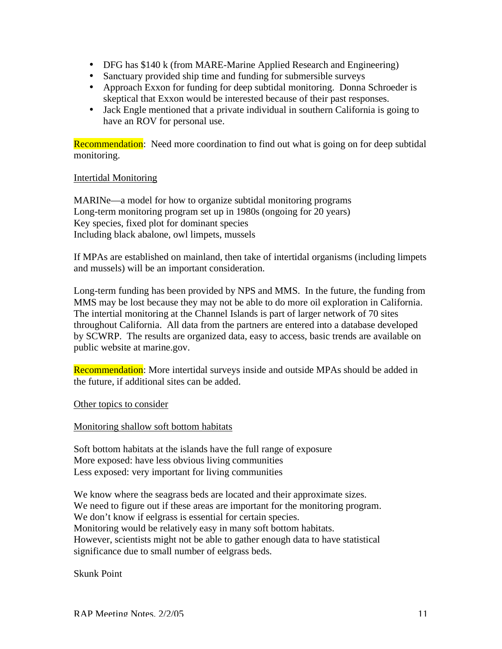- DFG has \$140 k (from MARE-Marine Applied Research and Engineering)
- Sanctuary provided ship time and funding for submersible surveys
- Approach Exxon for funding for deep subtidal monitoring. Donna Schroeder is skeptical that Exxon would be interested because of their past responses.
- Jack Engle mentioned that a private individual in southern California is going to have an ROV for personal use.

**Recommendation:** Need more coordination to find out what is going on for deep subtidal monitoring.

## Intertidal Monitoring

MARINe—a model for how to organize subtidal monitoring programs Long-term monitoring program set up in 1980s (ongoing for 20 years) Key species, fixed plot for dominant species Including black abalone, owl limpets, mussels

If MPAs are established on mainland, then take of intertidal organisms (including limpets and mussels) will be an important consideration.

Long-term funding has been provided by NPS and MMS. In the future, the funding from MMS may be lost because they may not be able to do more oil exploration in California. The intertial monitoring at the Channel Islands is part of larger network of 70 sites throughout California. All data from the partners are entered into a database developed by SCWRP. The results are organized data, easy to access, basic trends are available on public website at [marine.gov.](https://marine.gov)

Recommendation: More intertidal surveys inside and outside MPAs should be added in the future, if additional sites can be added.

Other topics to consider

Monitoring shallow soft bottom habitats

Soft bottom habitats at the islands have the full range of exposure More exposed: have less obvious living communities Less exposed: very important for living communities

We know where the seagrass beds are located and their approximate sizes. We need to figure out if these areas are important for the monitoring program. We don't know if eelgrass is essential for certain species. Monitoring would be relatively easy in many soft bottom habitats. However, scientists might not be able to gather enough data to have statistical significance due to small number of eelgrass beds.

Skunk Point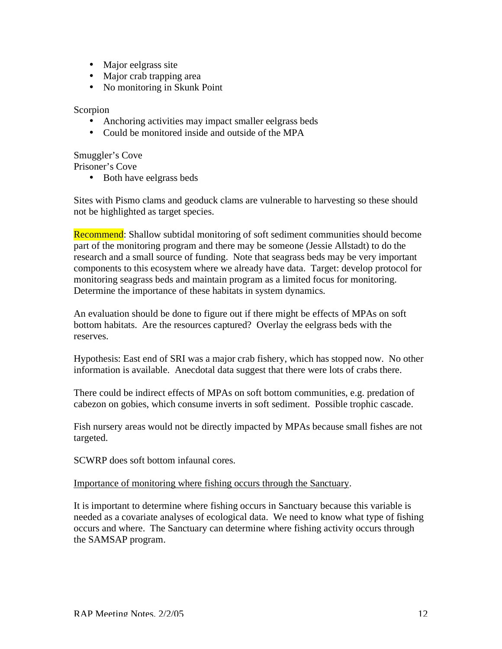- Major eelgrass site
- Major crab trapping area
- No monitoring in Skunk Point

#### Scorpion

- Anchoring activities may impact smaller eelgrass beds
- Could be monitored inside and outside of the MPA

## Smuggler's Cove

Prisoner's Cove

• Both have eelgrass beds

Sites with Pismo clams and geoduck clams are vulnerable to harvesting so these should not be highlighted as target species.

 part of the monitoring program and there may be someone (Jessie Allstadt) to do the Recommend: Shallow subtidal monitoring of soft sediment communities should become research and a small source of funding. Note that seagrass beds may be very important components to this ecosystem where we already have data. Target: develop protocol for monitoring seagrass beds and maintain program as a limited focus for monitoring. Determine the importance of these habitats in system dynamics.

An evaluation should be done to figure out if there might be effects of MPAs on soft bottom habitats. Are the resources captured? Overlay the eelgrass beds with the reserves.

Hypothesis: East end of SRI was a major crab fishery, which has stopped now. No other information is available. Anecdotal data suggest that there were lots of crabs there.

 cabezon on gobies, which consume inverts in soft sediment. Possible trophic cascade. There could be indirect effects of MPAs on soft bottom communities, e.g. predation of

Fish nursery areas would not be directly impacted by MPAs because small fishes are not targeted.

SCWRP does soft bottom infaunal cores.

## Importance of monitoring where fishing occurs through the Sanctuary.

It is important to determine where fishing occurs in Sanctuary because this variable is needed as a covariate analyses of ecological data. We need to know what type of fishing occurs and where. The Sanctuary can determine where fishing activity occurs through the SAMSAP program.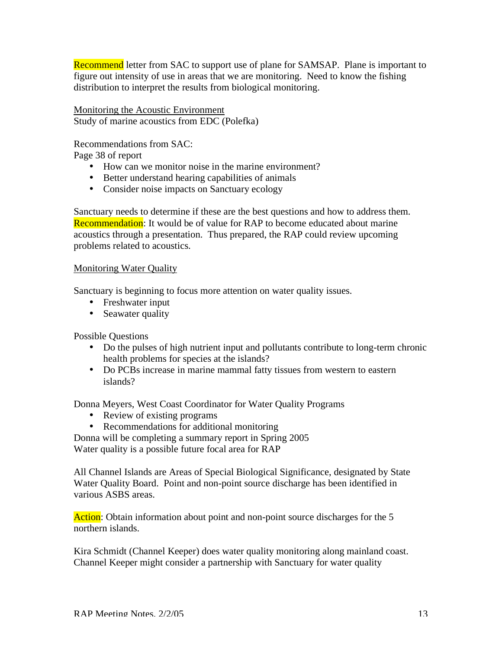Recommend letter from SAC to support use of plane for SAMSAP. Plane is important to figure out intensity of use in areas that we are monitoring. Need to know the fishing distribution to interpret the results from biological monitoring.

Monitoring the Acoustic Environment Study of marine acoustics from EDC (Polefka)

Recommendations from SAC:

Page 38 of report

- How can we monitor noise in the marine environment?
- Better understand hearing capabilities of animals
- Consider noise impacts on Sanctuary ecology

Sanctuary needs to determine if these are the best questions and how to address them. **Recommendation**: It would be of value for RAP to become educated about marine acoustics through a presentation. Thus prepared, the RAP could review upcoming problems related to acoustics.

## Monitoring Water Quality

Sanctuary is beginning to focus more attention on water quality issues.

- Freshwater input
- Seawater quality

Possible Questions

- Do the pulses of high nutrient input and pollutants contribute to long-term chronic health problems for species at the islands?
- Do PCBs increase in marine mammal fatty tissues from western to eastern islands?

Donna Meyers, West Coast Coordinator for Water Quality Programs

- Review of existing programs
- Recommendations for additional monitoring

Donna will be completing a summary report in Spring 2005 Water quality is a possible future focal area for RAP

All Channel Islands are Areas of Special Biological Significance, designated by State Water Quality Board. Point and non-point source discharge has been identified in various ASBS areas.

Action: Obtain information about point and non-point source discharges for the 5 northern islands.

 Kira Schmidt (Channel Keeper) does water quality monitoring along mainland coast. Channel Keeper might consider a partnership with Sanctuary for water quality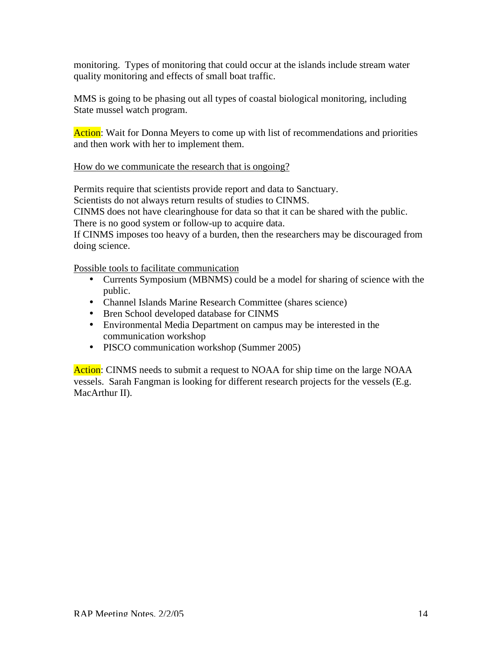monitoring. Types of monitoring that could occur at the islands include stream water quality monitoring and effects of small boat traffic.

MMS is going to be phasing out all types of coastal biological monitoring, including State mussel watch program.

Action: Wait for Donna Meyers to come up with list of recommendations and priorities and then work with her to implement them.

## How do we communicate the research that is ongoing?

Permits require that scientists provide report and data to Sanctuary.

Scientists do not always return results of studies to CINMS.

CINMS does not have clearinghouse for data so that it can be shared with the public. There is no good system or follow-up to acquire data.

If CINMS imposes too heavy of a burden, then the researchers may be discouraged from doing science.

Possible tools to facilitate communication

- Currents Symposium (MBNMS) could be a model for sharing of science with the public.
- Channel Islands Marine Research Committee (shares science)
- Bren School developed database for CINMS
- Environmental Media Department on campus may be interested in the communication workshop
- PISCO communication workshop (Summer 2005)

Action: CINMS needs to submit a request to NOAA for ship time on the large NOAA vessels. Sarah Fangman is looking for different research projects for the vessels (E.g. MacArthur II).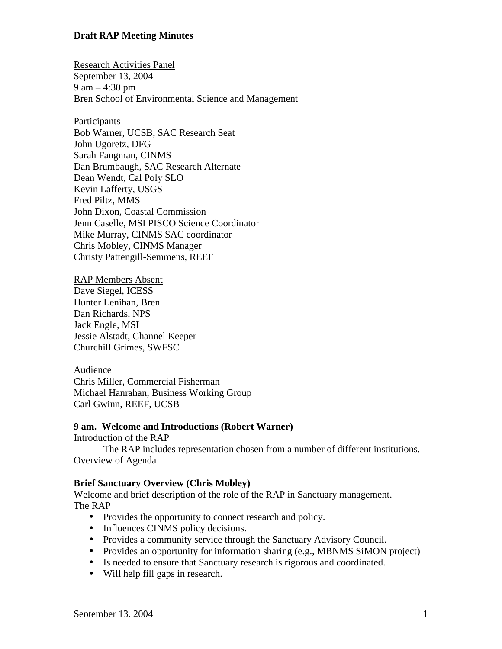Research Activities Panel September 13, 2004 9 am – 4:30 pm Bren School of Environmental Science and Management

**Participants** Bob Warner, UCSB, SAC Research Seat John Ugoretz, DFG Sarah Fangman, CINMS Dan Brumbaugh, SAC Research Alternate Dean Wendt, Cal Poly SLO Kevin Lafferty, USGS Fred Piltz, MMS John Dixon, Coastal Commission Jenn Caselle, MSI PISCO Science Coordinator Mike Murray, CINMS SAC coordinator Chris Mobley, CINMS Manager Christy Pattengill-Semmens, REEF

RAP Members Absent Dave Siegel, ICESS Hunter Lenihan, Bren Dan Richards, NPS Jack Engle, MSI Jessie Alstadt, Channel Keeper Churchill Grimes, SWFSC

Audience Chris Miller, Commercial Fisherman Michael Hanrahan, Business Working Group Carl Gwinn, REEF, UCSB

#### **9 am. Welcome and Introductions (Robert Warner)**

Introduction of the RAP

The RAP includes representation chosen from a number of different institutions. Overview of Agenda

#### **Brief Sanctuary Overview (Chris Mobley)**

Welcome and brief description of the role of the RAP in Sanctuary management. The RAP

- Provides the opportunity to connect research and policy.
- Influences CINMS policy decisions.
- Provides a community service through the Sanctuary Advisory Council.
- Provides an opportunity for information sharing (e.g., MBNMS SiMON project)
- Is needed to ensure that Sanctuary research is rigorous and coordinated.
- Will help fill gaps in research.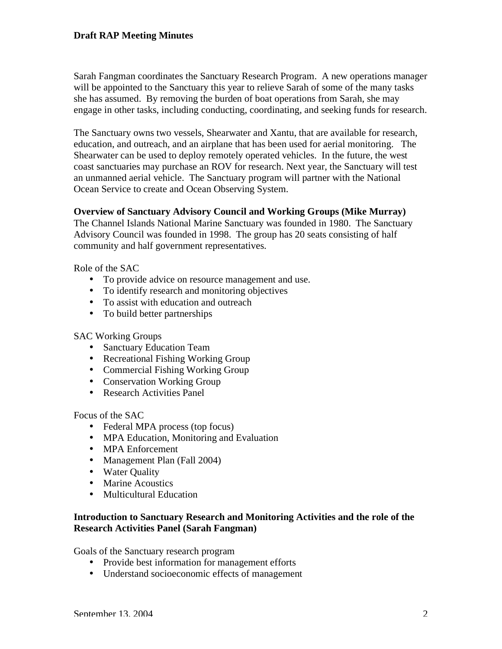Sarah Fangman coordinates the Sanctuary Research Program. A new operations manager will be appointed to the Sanctuary this year to relieve Sarah of some of the many tasks she has assumed. By removing the burden of boat operations from Sarah, she may engage in other tasks, including conducting, coordinating, and seeking funds for research.

 The Sanctuary owns two vessels, Shearwater and Xantu, that are available for research, coast sanctuaries may purchase an ROV for research. Next year, the Sanctuary will test education, and outreach, and an airplane that has been used for aerial monitoring. The Shearwater can be used to deploy remotely operated vehicles. In the future, the west an unmanned aerial vehicle. The Sanctuary program will partner with the National Ocean Service to create and Ocean Observing System.

## **Overview of Sanctuary Advisory Council and Working Groups (Mike Murray)**

The Channel Islands National Marine Sanctuary was founded in 1980. The Sanctuary Advisory Council was founded in 1998. The group has 20 seats consisting of half community and half government representatives.

Role of the SAC

- To provide advice on resource management and use.
- To identify research and monitoring objectives
- To assist with education and outreach
- To build better partnerships

## SAC Working Groups

- Sanctuary Education Team
- Recreational Fishing Working Group
- Commercial Fishing Working Group
- Conservation Working Group
- Research Activities Panel

Focus of the SAC

- Federal MPA process (top focus)
- MPA Education, Monitoring and Evaluation
- MPA Enforcement
- Management Plan (Fall 2004)
- Water Quality
- Marine Acoustics
- Multicultural Education

## **Introduction to Sanctuary Research and Monitoring Activities and the role of the Research Activities Panel (Sarah Fangman)**

Goals of the Sanctuary research program

- Provide best information for management efforts
- Understand socioeconomic effects of management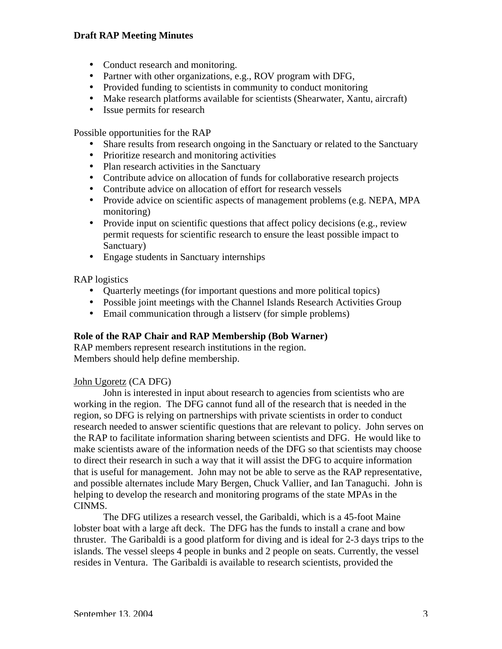- Conduct research and monitoring.
- Partner with other organizations, e.g., ROV program with DFG,
- Provided funding to scientists in community to conduct monitoring
- Make research platforms available for scientists (Shearwater, Xantu, aircraft)
- Issue permits for research

Possible opportunities for the RAP

- Share results from research ongoing in the Sanctuary or related to the Sanctuary
- Prioritize research and monitoring activities
- Plan research activities in the Sanctuary
- Contribute advice on allocation of funds for collaborative research projects
- Contribute advice on allocation of effort for research vessels
- Provide advice on scientific aspects of management problems (e.g. NEPA, MPA monitoring)
- Provide input on scientific questions that affect policy decisions (e.g., review permit requests for scientific research to ensure the least possible impact to Sanctuary)
- Engage students in Sanctuary internships

RAP logistics

- Quarterly meetings (for important questions and more political topics)
- Possible joint meetings with the Channel Islands Research Activities Group
- Email communication through a listsery (for simple problems)

## **Role of the RAP Chair and RAP Membership (Bob Warner)**

RAP members represent research institutions in the region. Members should help define membership.

## John Ugoretz (CA DFG)

John is interested in input about research to agencies from scientists who are working in the region. The DFG cannot fund all of the research that is needed in the region, so DFG is relying on partnerships with private scientists in order to conduct research needed to answer scientific questions that are relevant to policy. John serves on the RAP to facilitate information sharing between scientists and DFG. He would like to make scientists aware of the information needs of the DFG so that scientists may choose to direct their research in such a way that it will assist the DFG to acquire information that is useful for management. John may not be able to serve as the RAP representative, and possible alternates include Mary Bergen, Chuck Vallier, and Ian Tanaguchi. John is helping to develop the research and monitoring programs of the state MPAs in the CINMS.

The DFG utilizes a research vessel, the Garibaldi, which is a 45-foot Maine lobster boat with a large aft deck. The DFG has the funds to install a crane and bow thruster. The Garibaldi is a good platform for diving and is ideal for 2-3 days trips to the islands. The vessel sleeps 4 people in bunks and 2 people on seats. Currently, the vessel resides in Ventura. The Garibaldi is available to research scientists, provided the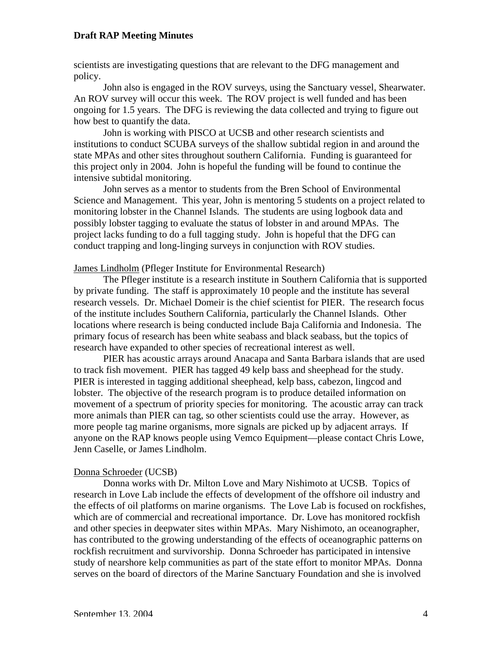scientists are investigating questions that are relevant to the DFG management and policy.

 ongoing for 1.5 years. The DFG is reviewing the data collected and trying to figure out John also is engaged in the ROV surveys, using the Sanctuary vessel, Shearwater. An ROV survey will occur this week. The ROV project is well funded and has been how best to quantify the data.

John is working with PISCO at UCSB and other research scientists and institutions to conduct SCUBA surveys of the shallow subtidal region in and around the state MPAs and other sites throughout southern California. Funding is guaranteed for this project only in 2004. John is hopeful the funding will be found to continue the intensive subtidal monitoring.

John serves as a mentor to students from the Bren School of Environmental Science and Management. This year, John is mentoring 5 students on a project related to monitoring lobster in the Channel Islands. The students are using logbook data and possibly lobster tagging to evaluate the status of lobster in and around MPAs. The project lacks funding to do a full tagging study. John is hopeful that the DFG can conduct trapping and long-linging surveys in conjunction with ROV studies.

James Lindholm (Pfleger Institute for Environmental Research)

 The Pfleger institute is a research institute in Southern California that is supported by private funding. The staff is approximately 10 people and the institute has several research vessels. Dr. Michael Domeir is the chief scientist for PIER. The research focus of the institute includes Southern California, particularly the Channel Islands. Other locations where research is being conducted include Baja California and Indonesia. The primary focus of research has been white seabass and black seabass, but the topics of research have expanded to other species of recreational interest as well.

PIER has acoustic arrays around Anacapa and Santa Barbara islands that are used to track fish movement. PIER has tagged 49 kelp bass and sheephead for the study. PIER is interested in tagging additional sheephead, kelp bass, cabezon, lingcod and lobster. The objective of the research program is to produce detailed information on movement of a spectrum of priority species for monitoring. The acoustic array can track more animals than PIER can tag, so other scientists could use the array. However, as more people tag marine organisms, more signals are picked up by adjacent arrays. If anyone on the RAP knows people using Vemco Equipment—please contact Chris Lowe, Jenn Caselle, or James Lindholm.

#### Donna Schroeder (UCSB)

 research in Love Lab include the effects of development of the offshore oil industry and Donna works with Dr. Milton Love and Mary Nishimoto at UCSB. Topics of the effects of oil platforms on marine organisms. The Love Lab is focused on rockfishes, which are of commercial and recreational importance. Dr. Love has monitored rockfish and other species in deepwater sites within MPAs. Mary Nishimoto, an oceanographer, has contributed to the growing understanding of the effects of oceanographic patterns on rockfish recruitment and survivorship. Donna Schroeder has participated in intensive study of nearshore kelp communities as part of the state effort to monitor MPAs. Donna serves on the board of directors of the Marine Sanctuary Foundation and she is involved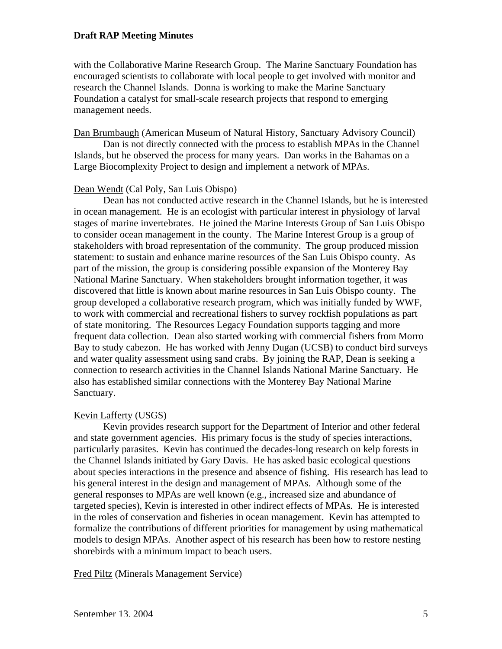with the Collaborative Marine Research Group. The Marine Sanctuary Foundation has encouraged scientists to collaborate with local people to get involved with monitor and research the Channel Islands. Donna is working to make the Marine Sanctuary Foundation a catalyst for small-scale research projects that respond to emerging management needs.

Dan Brumbaugh (American Museum of Natural History, Sanctuary Advisory Council)

Dan is not directly connected with the process to establish MPAs in the Channel Islands, but he observed the process for many years. Dan works in the Bahamas on a Large Biocomplexity Project to design and implement a network of MPAs.

#### Dean Wendt (Cal Poly, San Luis Obispo)

 Dean has not conducted active research in the Channel Islands, but he is interested in ocean management. He is an ecologist with particular interest in physiology of larval stages of marine invertebrates. He joined the Marine Interests Group of San Luis Obispo to consider ocean management in the county. The Marine Interest Group is a group of stakeholders with broad representation of the community. The group produced mission statement: to sustain and enhance marine resources of the San Luis Obispo county. As part of the mission, the group is considering possible expansion of the Monterey Bay National Marine Sanctuary. When stakeholders brought information together, it was discovered that little is known about marine resources in San Luis Obispo county. The group developed a collaborative research program, which was initially funded by WWF, to work with commercial and recreational fishers to survey rockfish populations as part of state monitoring. The Resources Legacy Foundation supports tagging and more frequent data collection. Dean also started working with commercial fishers from Morro Bay to study cabezon. He has worked with Jenny Dugan (UCSB) to conduct bird surveys and water quality assessment using sand crabs. By joining the RAP, Dean is seeking a connection to research activities in the Channel Islands National Marine Sanctuary. He also has established similar connections with the Monterey Bay National Marine Sanctuary.

#### Kevin Lafferty (USGS)

Kevin provides research support for the Department of Interior and other federal and state government agencies. His primary focus is the study of species interactions, particularly parasites. Kevin has continued the decades-long research on kelp forests in the Channel Islands initiated by Gary Davis. He has asked basic ecological questions about species interactions in the presence and absence of fishing. His research has lead to his general interest in the design and management of MPAs. Although some of the general responses to MPAs are well known (e.g., increased size and abundance of targeted species), Kevin is interested in other indirect effects of MPAs. He is interested in the roles of conservation and fisheries in ocean management. Kevin has attempted to formalize the contributions of different priorities for management by using mathematical models to design MPAs. Another aspect of his research has been how to restore nesting shorebirds with a minimum impact to beach users.

Fred Piltz (Minerals Management Service)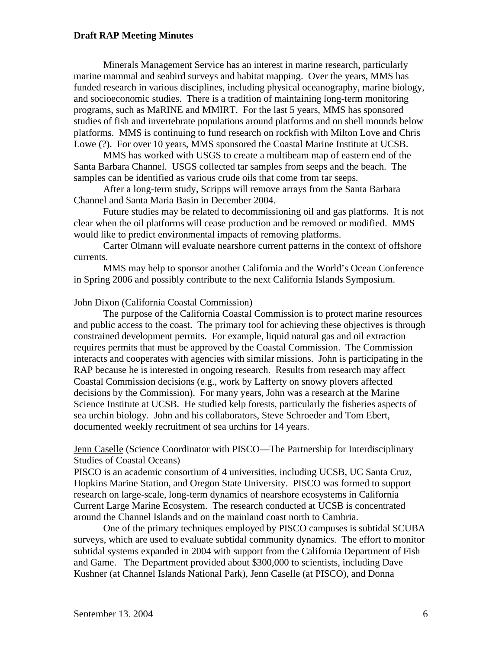marine mammal and seabird surveys and habitat mapping. Over the years, MMS has platforms. MMS is continuing to fund research on rockfish with Milton Love and Chris Minerals Management Service has an interest in marine research, particularly funded research in various disciplines, including physical oceanography, marine biology, and socioeconomic studies. There is a tradition of maintaining long-term monitoring programs, such as MaRINE and MMIRT. For the last 5 years, MMS has sponsored studies of fish and invertebrate populations around platforms and on shell mounds below Lowe (?). For over 10 years, MMS sponsored the Coastal Marine Institute at UCSB.

 MMS has worked with USGS to create a multibeam map of eastern end of the Santa Barbara Channel. USGS collected tar samples from seeps and the beach. The samples can be identified as various crude oils that come from tar seeps.

After a long-term study, Scripps will remove arrays from the Santa Barbara Channel and Santa Maria Basin in December 2004.

 Future studies may be related to decommissioning oil and gas platforms. It is not clear when the oil platforms will cease production and be removed or modified. MMS would like to predict environmental impacts of removing platforms.

Carter Olmann will evaluate nearshore current patterns in the context of offshore currents.

MMS may help to sponsor another California and the World's Ocean Conference in Spring 2006 and possibly contribute to the next California Islands Symposium.

#### John Dixon (California Coastal Commission)

The purpose of the California Coastal Commission is to protect marine resources and public access to the coast. The primary tool for achieving these objectives is through constrained development permits. For example, liquid natural gas and oil extraction requires permits that must be approved by the Coastal Commission. The Commission interacts and cooperates with agencies with similar missions. John is participating in the RAP because he is interested in ongoing research. Results from research may affect Coastal Commission decisions (e.g., work by Lafferty on snowy plovers affected decisions by the Commission). For many years, John was a research at the Marine Science Institute at UCSB. He studied kelp forests, particularly the fisheries aspects of sea urchin biology. John and his collaborators, Steve Schroeder and Tom Ebert, documented weekly recruitment of sea urchins for 14 years.

## Jenn Caselle (Science Coordinator with PISCO—The Partnership for Interdisciplinary Studies of Coastal Oceans)

PISCO is an academic consortium of 4 universities, including UCSB, UC Santa Cruz, Hopkins Marine Station, and Oregon State University. PISCO was formed to support research on large-scale, long-term dynamics of nearshore ecosystems in California Current Large Marine Ecosystem. The research conducted at UCSB is concentrated around the Channel Islands and on the mainland coast north to Cambria.

One of the primary techniques employed by PISCO campuses is subtidal SCUBA surveys, which are used to evaluate subtidal community dynamics. The effort to monitor subtidal systems expanded in 2004 with support from the California Department of Fish and Game. The Department provided about \$300,000 to scientists, including Dave Kushner (at Channel Islands National Park), Jenn Caselle (at PISCO), and Donna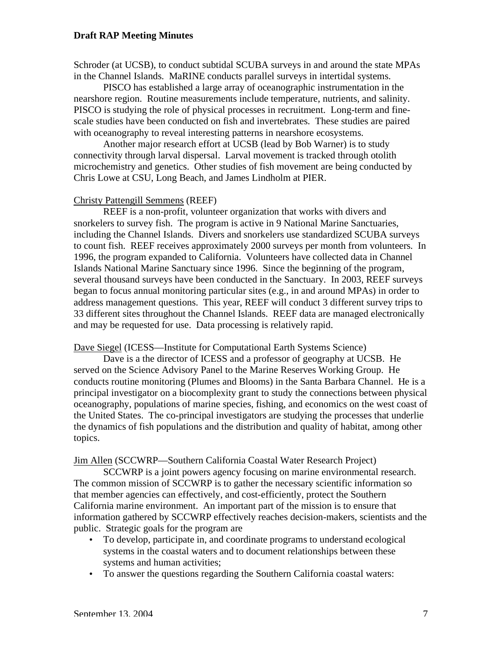Schroder (at UCSB), to conduct subtidal SCUBA surveys in and around the state MPAs in the Channel Islands. MaRINE conducts parallel surveys in intertidal systems.

PISCO has established a large array of oceanographic instrumentation in the nearshore region. Routine measurements include temperature, nutrients, and salinity. PISCO is studying the role of physical processes in recruitment. Long-term and finescale studies have been conducted on fish and invertebrates. These studies are paired with oceanography to reveal interesting patterns in nearshore ecosystems.

Another major research effort at UCSB (lead by Bob Warner) is to study connectivity through larval dispersal. Larval movement is tracked through otolith microchemistry and genetics. Other studies of fish movement are being conducted by Chris Lowe at CSU, Long Beach, and James Lindholm at PIER.

#### Christy Pattengill Semmens (REEF)

REEF is a non-profit, volunteer organization that works with divers and snorkelers to survey fish. The program is active in 9 National Marine Sanctuaries, including the Channel Islands. Divers and snorkelers use standardized SCUBA surveys to count fish. REEF receives approximately 2000 surveys per month from volunteers. In 1996, the program expanded to California. Volunteers have collected data in Channel Islands National Marine Sanctuary since 1996. Since the beginning of the program, several thousand surveys have been conducted in the Sanctuary. In 2003, REEF surveys began to focus annual monitoring particular sites (e.g., in and around MPAs) in order to address management questions. This year, REEF will conduct 3 different survey trips to 33 different sites throughout the Channel Islands. REEF data are managed electronically and may be requested for use. Data processing is relatively rapid.

#### Dave Siegel (ICESS—Institute for Computational Earth Systems Science)

Dave is a the director of ICESS and a professor of geography at UCSB. He served on the Science Advisory Panel to the Marine Reserves Working Group. He conducts routine monitoring (Plumes and Blooms) in the Santa Barbara Channel. He is a principal investigator on a biocomplexity grant to study the connections between physical oceanography, populations of marine species, fishing, and economics on the west coast of the United States. The co-principal investigators are studying the processes that underlie the dynamics of fish populations and the distribution and quality of habitat, among other topics.

#### Jim Allen (SCCWRP—Southern California Coastal Water Research Project)

 California marine environment. An important part of the mission is to ensure that SCCWRP is a joint powers agency focusing on marine environmental research. The common mission of SCCWRP is to gather the necessary scientific information so that member agencies can effectively, and cost-efficiently, protect the Southern information gathered by SCCWRP effectively reaches decision-makers, scientists and the public. Strategic goals for the program are

- To develop, participate in, and coordinate programs to understand ecological systems in the coastal waters and to document relationships between these systems and human activities;
- To answer the questions regarding the Southern California coastal waters: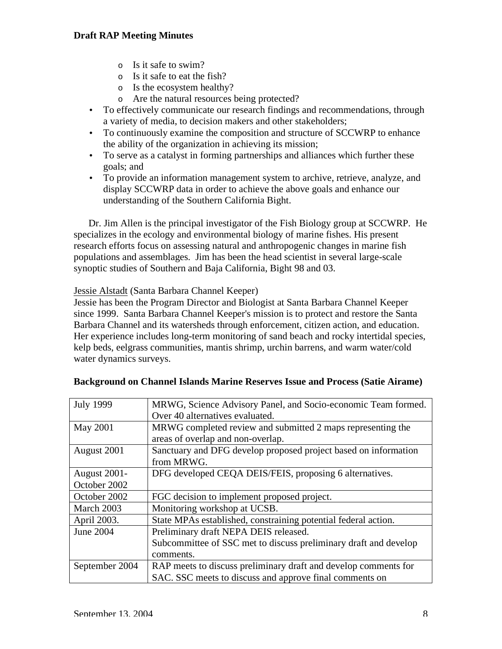- o Is it safe to swim?
- o Is it safe to eat the fish?
- o Is the ecosystem healthy?
- o Are the natural resources being protected?
- To effectively communicate our research findings and recommendations, through a variety of media, to decision makers and other stakeholders;
- To continuously examine the composition and structure of SCCWRP to enhance the ability of the organization in achieving its mission;
- To serve as a catalyst in forming partnerships and alliances which further these goals; and
- To provide an information management system to archive, retrieve, analyze, and display SCCWRP data in order to achieve the above goals and enhance our understanding of the Southern California Bight.

Dr. Jim Allen is the principal investigator of the Fish Biology group at SCCWRP. He specializes in the ecology and environmental biology of marine fishes. His present research efforts focus on assessing natural and anthropogenic changes in marine fish populations and assemblages. Jim has been the head scientist in several large-scale synoptic studies of Southern and Baja California, Bight 98 and 03.

## Jessie Alstadt (Santa Barbara Channel Keeper)

 since 1999. Santa Barbara Channel Keeper's mission is to protect and restore the Santa Jessie has been the Program Director and Biologist at Santa Barbara Channel Keeper Barbara Channel and its watersheds through enforcement, citizen action, and education. Her experience includes long-term monitoring of sand beach and rocky intertidal species, kelp beds, eelgrass communities, mantis shrimp, urchin barrens, and warm water/cold water dynamics surveys.

| <b>July 1999</b>    | MRWG, Science Advisory Panel, and Socio-economic Team formed.    |
|---------------------|------------------------------------------------------------------|
|                     | Over 40 alternatives evaluated.                                  |
| May 2001            | MRWG completed review and submitted 2 maps representing the      |
|                     | areas of overlap and non-overlap.                                |
| August 2001         | Sanctuary and DFG develop proposed project based on information  |
|                     | from MRWG.                                                       |
| <b>August 2001-</b> | DFG developed CEQA DEIS/FEIS, proposing 6 alternatives.          |
| October 2002        |                                                                  |
| October 2002        | FGC decision to implement proposed project.                      |
| March 2003          | Monitoring workshop at UCSB.                                     |
| April 2003.         | State MPAs established, constraining potential federal action.   |
| June 2004           | Preliminary draft NEPA DEIS released.                            |
|                     | Subcommittee of SSC met to discuss preliminary draft and develop |
|                     | comments.                                                        |
| September 2004      | RAP meets to discuss preliminary draft and develop comments for  |
|                     | SAC. SSC meets to discuss and approve final comments on          |

## **Background on Channel Islands Marine Reserves Issue and Process (Satie Airame)**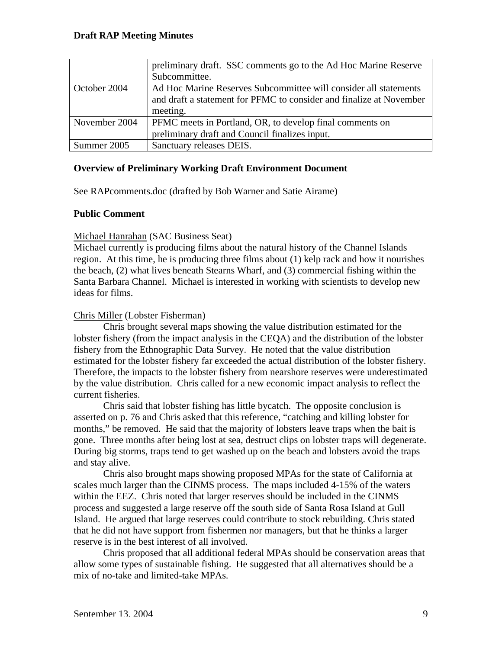|               | preliminary draft. SSC comments go to the Ad Hoc Marine Reserve                                                                         |
|---------------|-----------------------------------------------------------------------------------------------------------------------------------------|
|               | Subcommittee.                                                                                                                           |
| October 2004  | Ad Hoc Marine Reserves Subcommittee will consider all statements<br>and draft a statement for PFMC to consider and finalize at November |
|               | meeting.                                                                                                                                |
| November 2004 | PFMC meets in Portland, OR, to develop final comments on                                                                                |
|               | preliminary draft and Council finalizes input.                                                                                          |
| Summer 2005   | Sanctuary releases DEIS.                                                                                                                |

## **Overview of Preliminary Working Draft Environment Document**

See RAPcomments.doc (drafted by Bob Warner and Satie Airame)

## **Public Comment**

## Michael Hanrahan (SAC Business Seat)

Michael currently is producing films about the natural history of the Channel Islands region. At this time, he is producing three films about (1) kelp rack and how it nourishes the beach, (2) what lives beneath Stearns Wharf, and (3) commercial fishing within the Santa Barbara Channel. Michael is interested in working with scientists to develop new ideas for films.

## Chris Miller (Lobster Fisherman)

 by the value distribution. Chris called for a new economic impact analysis to reflect the Chris brought several maps showing the value distribution estimated for the lobster fishery (from the impact analysis in the CEQA) and the distribution of the lobster fishery from the Ethnographic Data Survey. He noted that the value distribution estimated for the lobster fishery far exceeded the actual distribution of the lobster fishery. Therefore, the impacts to the lobster fishery from nearshore reserves were underestimated current fisheries.

 months," be removed. He said that the majority of lobsters leave traps when the bait is Chris said that lobster fishing has little bycatch. The opposite conclusion is asserted on p. 76 and Chris asked that this reference, "catching and killing lobster for gone. Three months after being lost at sea, destruct clips on lobster traps will degenerate. During big storms, traps tend to get washed up on the beach and lobsters avoid the traps and stay alive.

Chris also brought maps showing proposed MPAs for the state of California at scales much larger than the CINMS process. The maps included 4-15% of the waters within the EEZ. Chris noted that larger reserves should be included in the CINMS process and suggested a large reserve off the south side of Santa Rosa Island at Gull Island. He argued that large reserves could contribute to stock rebuilding. Chris stated that he did not have support from fishermen nor managers, but that he thinks a larger reserve is in the best interest of all involved.

 Chris proposed that all additional federal MPAs should be conservation areas that allow some types of sustainable fishing. He suggested that all alternatives should be a mix of no-take and limited-take MPAs.